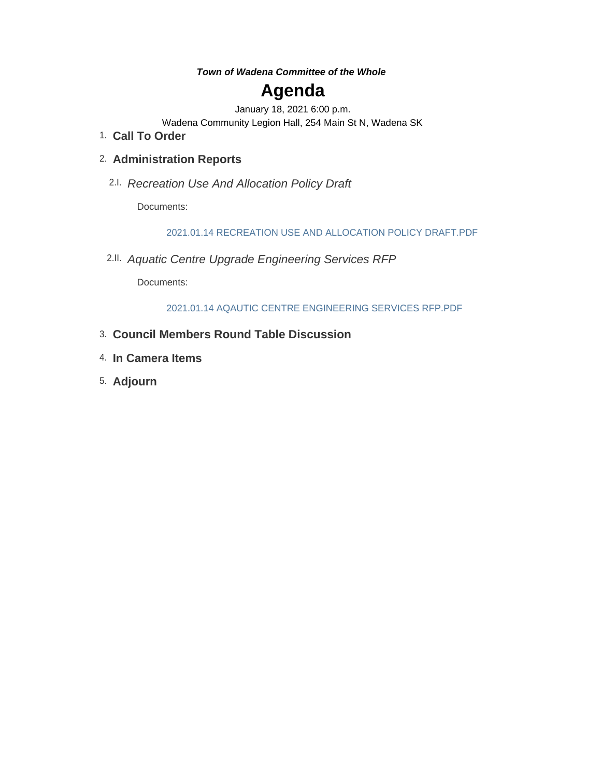#### *Town of Wadena Committee of the Whole*

# **Agenda**

January 18, 2021 6:00 p.m.

Wadena Community Legion Hall, 254 Main St N, Wadena SK

**Call To Order** 1.

# **Administration Reports** 2.

*Recreation Use And Allocation Policy Draft* 2.I.

Documents:

2021.01.14 RECREATION USE AND ALLOCATION POLICY DRAFT.PDF

*Aquatic Centre Upgrade Engineering Services RFP* 2.II.

Documents:

2021.01.14 AQAUTIC CENTRE ENGINEERING SERVICES RFP.PDF

- **Council Members Round Table Discussion** 3.
- **In Camera Items** 4.
- **Adjourn** 5.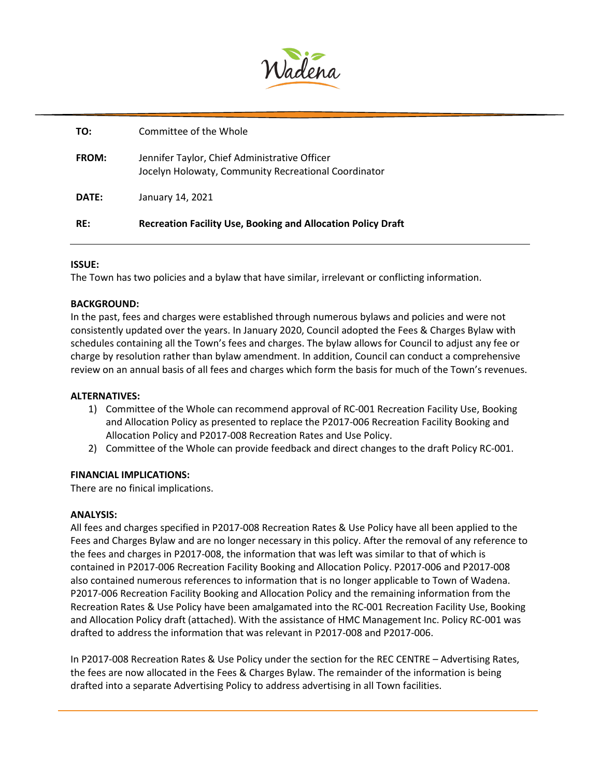

| <b>RE:</b>   | <b>Recreation Facility Use, Booking and Allocation Policy Draft</b>                                   |
|--------------|-------------------------------------------------------------------------------------------------------|
| DATE:        | January 14, 2021                                                                                      |
| <b>FROM:</b> | Jennifer Taylor, Chief Administrative Officer<br>Jocelyn Holowaty, Community Recreational Coordinator |
| TO:          | Committee of the Whole                                                                                |

#### **ISSUE:**

The Town has two policies and a bylaw that have similar, irrelevant or conflicting information.

#### **BACKGROUND:**

In the past, fees and charges were established through numerous bylaws and policies and were not consistently updated over the years. In January 2020, Council adopted the Fees & Charges Bylaw with schedules containing all the Town's fees and charges. The bylaw allows for Council to adjust any fee or charge by resolution rather than bylaw amendment. In addition, Council can conduct a comprehensive review on an annual basis of all fees and charges which form the basis for much of the Town's revenues.

#### **ALTERNATIVES:**

- 1) Committee of the Whole can recommend approval of RC-001 Recreation Facility Use, Booking and Allocation Policy as presented to replace the P2017-006 Recreation Facility Booking and Allocation Policy and P2017-008 Recreation Rates and Use Policy.
- 2) Committee of the Whole can provide feedback and direct changes to the draft Policy RC-001.

#### **FINANCIAL IMPLICATIONS:**

There are no finical implications.

#### **ANALYSIS:**

All fees and charges specified in P2017-008 Recreation Rates & Use Policy have all been applied to the Fees and Charges Bylaw and are no longer necessary in this policy. After the removal of any reference to the fees and charges in P2017-008, the information that was left was similar to that of which is contained in P2017-006 Recreation Facility Booking and Allocation Policy. P2017-006 and P2017-008 also contained numerous references to information that is no longer applicable to Town of Wadena. P2017-006 Recreation Facility Booking and Allocation Policy and the remaining information from the Recreation Rates & Use Policy have been amalgamated into the RC-001 Recreation Facility Use, Booking and Allocation Policy draft (attached). With the assistance of HMC Management Inc. Policy RC-001 was drafted to address the information that was relevant in P2017-008 and P2017-006.

In P2017-008 Recreation Rates & Use Policy under the section for the REC CENTRE – Advertising Rates, the fees are now allocated in the Fees & Charges Bylaw. The remainder of the information is being drafted into a separate Advertising Policy to address advertising in all Town facilities.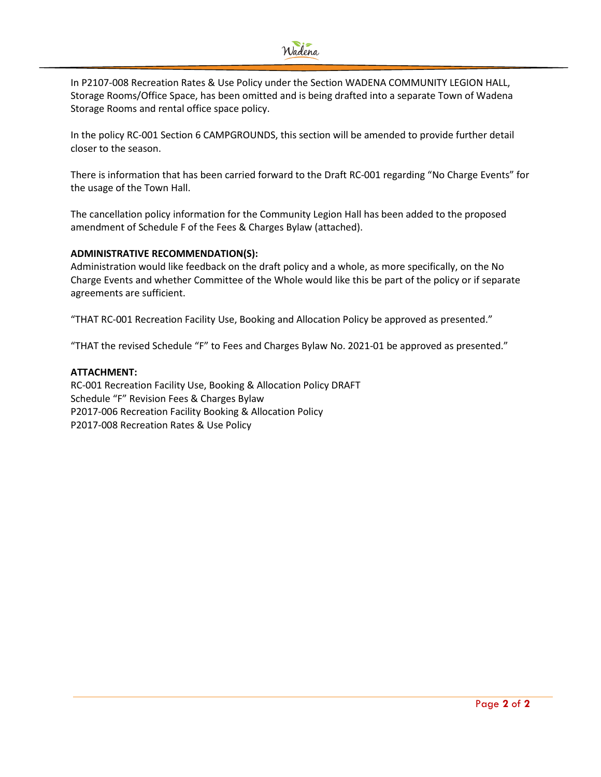

In P2107-008 Recreation Rates & Use Policy under the Section WADENA COMMUNITY LEGION HALL, Storage Rooms/Office Space, has been omitted and is being drafted into a separate Town of Wadena Storage Rooms and rental office space policy.

In the policy RC-001 Section 6 CAMPGROUNDS, this section will be amended to provide further detail closer to the season.

There is information that has been carried forward to the Draft RC-001 regarding "No Charge Events" for the usage of the Town Hall.

The cancellation policy information for the Community Legion Hall has been added to the proposed amendment of Schedule F of the Fees & Charges Bylaw (attached).

#### **ADMINISTRATIVE RECOMMENDATION(S):**

Administration would like feedback on the draft policy and a whole, as more specifically, on the No Charge Events and whether Committee of the Whole would like this be part of the policy or if separate agreements are sufficient.

"THAT RC-001 Recreation Facility Use, Booking and Allocation Policy be approved as presented."

"THAT the revised Schedule "F" to Fees and Charges Bylaw No. 2021-01 be approved as presented."

#### **ATTACHMENT:**

RC-001 Recreation Facility Use, Booking & Allocation Policy DRAFT Schedule "F" Revision Fees & Charges Bylaw P2017-006 Recreation Facility Booking & Allocation Policy P2017-008 Recreation Rates & Use Policy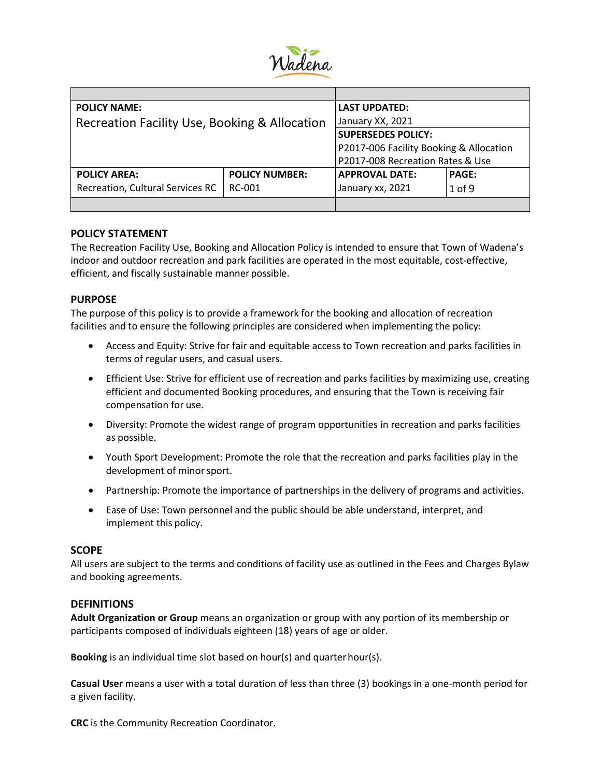

| <b>POLICY NAME:</b>                           | <b>LAST UPDATED:</b>  |                                         |              |
|-----------------------------------------------|-----------------------|-----------------------------------------|--------------|
| Recreation Facility Use, Booking & Allocation | January XX, 2021      |                                         |              |
|                                               |                       | <b>SUPERSEDES POLICY:</b>               |              |
|                                               |                       | P2017-006 Facility Booking & Allocation |              |
|                                               |                       | P2017-008 Recreation Rates & Use        |              |
| <b>POLICY AREA:</b>                           | <b>POLICY NUMBER:</b> | <b>APPROVAL DATE:</b>                   | <b>PAGE:</b> |
| Recreation, Cultural Services RC<br>RC-001    |                       | January xx, 2021                        | 1 of 9       |
|                                               |                       |                                         |              |

#### **POLICY STATEMENT**

The Recreation Facility Use, Booking and Allocation Policy is intended to ensure that Town of Wadena's indoor and outdoor recreation and park facilities are operated in the most equitable, cost-effective, efficient, and fiscally sustainable manner possible.

#### **PURPOSE**

The purpose of this policy is to provide a framework for the booking and allocation of recreation facilities and to ensure the following principles are considered when implementing the policy:

- Access and Equity: Strive for fair and equitable access to Town recreation and parks facilities in terms of regular users, and casual users.
- Efficient Use: Strive for efficient use of recreation and parks facilities by maximizing use, creating efficient and documented Booking procedures, and ensuring that the Town is receiving fair compensation for use.
- Diversity: Promote the widest range of program opportunities in recreation and parks facilities as possible.
- Youth Sport Development: Promote the role that the recreation and parks facilities play in the development of minor sport.
- Partnership: Promote the importance of partnerships in the delivery of programs and activities.
- Ease of Use: Town personnel and the public should be able understand, interpret, and implement this policy.

#### **SCOPE**

All users are subject to the terms and conditions of facility use as outlined in the Fees and Charges Bylaw and booking agreements.

#### **DEFINITIONS**

**Adult Organization or Group** means an organization or group with any portion of its membership or participants composed of individuals eighteen (18) years of age or older.

**Booking** is an individual time slot based on hour(s) and quarterhour(s).

**Casual User** means a user with a total duration of less than three (3) bookings in a one-month period for a given facility.

**CRC** is the Community Recreation Coordinator.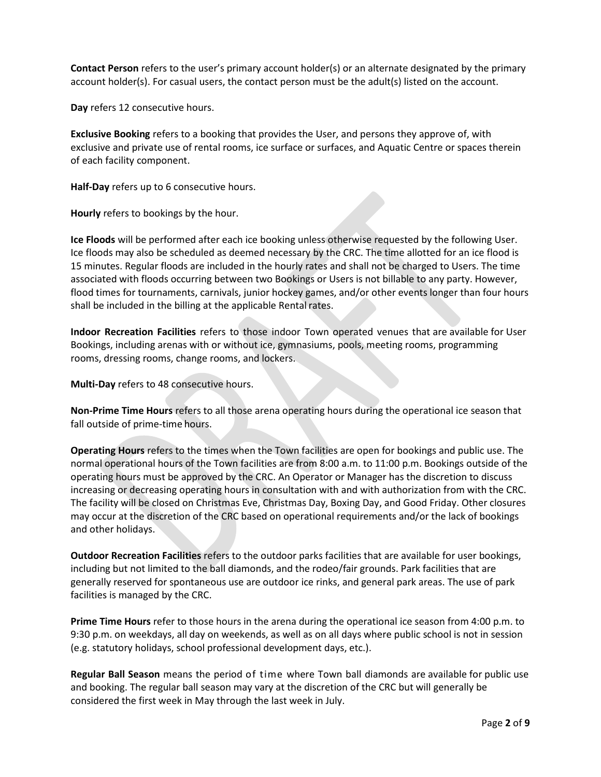**Contact Person** refers to the user's primary account holder(s) or an alternate designated by the primary account holder(s). For casual users, the contact person must be the adult(s) listed on the account.

**Day** refers 12 consecutive hours.

**Exclusive Booking** refers to a booking that provides the User, and persons they approve of, with exclusive and private use of rental rooms, ice surface or surfaces, and Aquatic Centre or spaces therein of each facility component.

**Half-Day** refers up to 6 consecutive hours.

**Hourly** refers to bookings by the hour.

**Ice Floods** will be performed after each ice booking unless otherwise requested by the following User. Ice floods may also be scheduled as deemed necessary by the CRC. The time allotted for an ice flood is 15 minutes. Regular floods are included in the hourly rates and shall not be charged to Users. The time associated with floods occurring between two Bookings or Users is not billable to any party. However, flood times for tournaments, carnivals, junior hockey games, and/or other events longer than four hours shall be included in the billing at the applicable Rental rates.

**Indoor Recreation Facilities** refers to those indoor Town operated venues that are available for User Bookings, including arenas with or without ice, gymnasiums, pools, meeting rooms, programming rooms, dressing rooms, change rooms, and lockers.

**Multi-Day** refers to 48 consecutive hours.

**Non-Prime Time Hours** refers to all those arena operating hours during the operational ice season that fall outside of prime-time hours.

**Operating Hours** refers to the times when the Town facilities are open for bookings and public use. The normal operational hours of the Town facilities are from 8:00 a.m. to 11:00 p.m. Bookings outside of the operating hours must be approved by the CRC. An Operator or Manager has the discretion to discuss increasing or decreasing operating hours in consultation with and with authorization from with the CRC. The facility will be closed on Christmas Eve, Christmas Day, Boxing Day, and Good Friday. Other closures may occur at the discretion of the CRC based on operational requirements and/or the lack of bookings and other holidays.

**Outdoor Recreation Facilities** refers to the outdoor parks facilities that are available for user bookings, including but not limited to the ball diamonds, and the rodeo/fair grounds. Park facilities that are generally reserved for spontaneous use are outdoor ice rinks, and general park areas. The use of park facilities is managed by the CRC.

**Prime Time Hours** refer to those hours in the arena during the operational ice season from 4:00 p.m. to 9:30 p.m. on weekdays, all day on weekends, as well as on all days where public school is not in session (e.g. statutory holidays, school professional development days, etc.).

**Regular Ball Season** means the period of time where Town ball diamonds are available for public use and booking. The regular ball season may vary at the discretion of the CRC but will generally be considered the first week in May through the last week in July.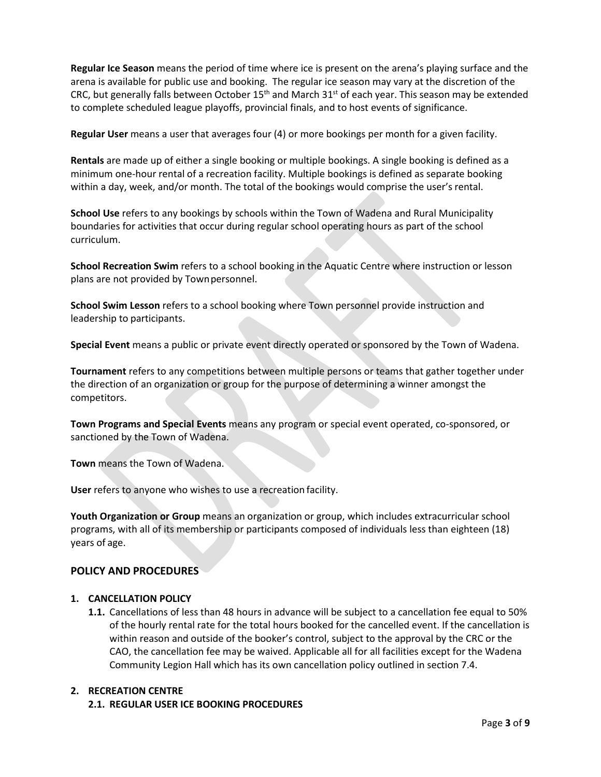**Regular Ice Season** means the period of time where ice is present on the arena's playing surface and the arena is available for public use and booking. The regular ice season may vary at the discretion of the CRC, but generally falls between October 15<sup>th</sup> and March 31<sup>st</sup> of each year. This season may be extended to complete scheduled league playoffs, provincial finals, and to host events of significance.

**Regular User** means a user that averages four (4) or more bookings per month for a given facility.

**Rentals** are made up of either a single booking or multiple bookings. A single booking is defined as a minimum one-hour rental of a recreation facility. Multiple bookings is defined as separate booking within a day, week, and/or month. The total of the bookings would comprise the user's rental.

**School Use** refers to any bookings by schools within the Town of Wadena and Rural Municipality boundaries for activities that occur during regular school operating hours as part of the school curriculum.

**School Recreation Swim** refers to a school booking in the Aquatic Centre where instruction or lesson plans are not provided by Townpersonnel.

**School Swim Lesson** refers to a school booking where Town personnel provide instruction and leadership to participants.

**Special Event** means a public or private event directly operated or sponsored by the Town of Wadena.

**Tournament** refers to any competitions between multiple persons or teams that gather together under the direction of an organization or group for the purpose of determining a winner amongst the competitors.

**Town Programs and Special Events** means any program or special event operated, co-sponsored, or sanctioned by the Town of Wadena.

**Town** means the Town of Wadena.

**User** refers to anyone who wishes to use a recreation facility.

**Youth Organization or Group** means an organization or group, which includes extracurricular school programs, with all of its membership or participants composed of individuals less than eighteen (18) years of age.

#### **POLICY AND PROCEDURES**

#### **1. CANCELLATION POLICY**

**1.1.** Cancellations of less than 48 hours in advance will be subject to a cancellation fee equal to 50% of the hourly rental rate for the total hours booked for the cancelled event. If the cancellation is within reason and outside of the booker's control, subject to the approval by the CRC or the CAO, the cancellation fee may be waived. Applicable all for all facilities except for the Wadena Community Legion Hall which has its own cancellation policy outlined in section 7.4.

#### **2. RECREATION CENTRE**

#### **2.1. REGULAR USER ICE BOOKING PROCEDURES**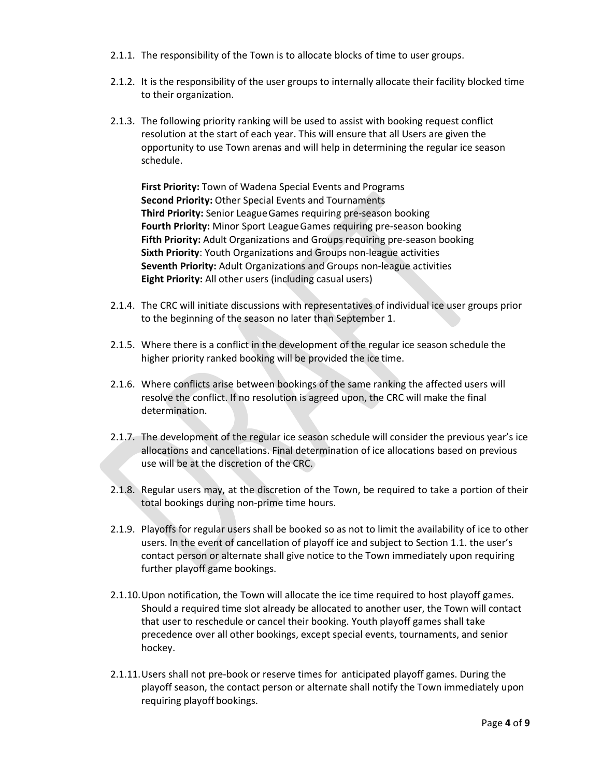- 2.1.1. The responsibility of the Town is to allocate blocks of time to user groups.
- 2.1.2. It is the responsibility of the user groups to internally allocate their facility blocked time to their organization.
- 2.1.3. The following priority ranking will be used to assist with booking request conflict resolution at the start of each year. This will ensure that all Users are given the opportunity to use Town arenas and will help in determining the regular ice season schedule.

**First Priority:** Town of Wadena Special Events and Programs **Second Priority:** Other Special Events and Tournaments **Third Priority:** Senior LeagueGames requiring pre-season booking **Fourth Priority:** Minor Sport LeagueGames requiring pre-season booking **Fifth Priority:** Adult Organizations and Groups requiring pre-season booking **Sixth Priority**: Youth Organizations and Groups non-league activities **Seventh Priority:** Adult Organizations and Groups non-league activities **Eight Priority:** All other users (including casual users)

- 2.1.4. The CRC will initiate discussions with representatives of individual ice user groups prior to the beginning of the season no later than September 1.
- 2.1.5. Where there is a conflict in the development of the regular ice season schedule the higher priority ranked booking will be provided the ice time.
- 2.1.6. Where conflicts arise between bookings of the same ranking the affected users will resolve the conflict. If no resolution is agreed upon, the CRC will make the final determination.
- 2.1.7. The development of the regular ice season schedule will consider the previous year's ice allocations and cancellations. Final determination of ice allocations based on previous use will be at the discretion of the CRC.
- 2.1.8. Regular users may, at the discretion of the Town, be required to take a portion of their total bookings during non-prime time hours.
- 2.1.9. Playoffs for regular users shall be booked so as not to limit the availability of ice to other users. In the event of cancellation of playoff ice and subject to Section 1.1. the user's contact person or alternate shall give notice to the Town immediately upon requiring further playoff game bookings.
- 2.1.10.Upon notification, the Town will allocate the ice time required to host playoff games. Should a required time slot already be allocated to another user, the Town will contact that user to reschedule or cancel their booking. Youth playoff games shall take precedence over all other bookings, except special events, tournaments, and senior hockey.
- 2.1.11.Users shall not pre-book or reserve times for anticipated playoff games. During the playoff season, the contact person or alternate shall notify the Town immediately upon requiring playoff bookings.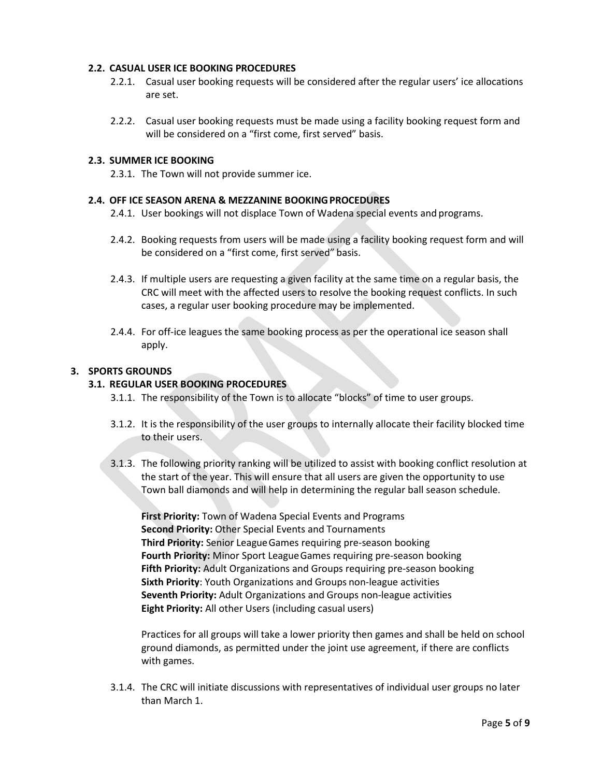#### **2.2. CASUAL USER ICE BOOKING PROCEDURES**

- 2.2.1. Casual user booking requests will be considered after the regular users' ice allocations are set.
- 2.2.2. Casual user booking requests must be made using a facility booking request form and will be considered on a "first come, first served" basis.

#### **2.3. SUMMER ICE BOOKING**

2.3.1. The Town will not provide summer ice.

#### **2.4. OFF ICE SEASON ARENA & MEZZANINE BOOKINGPROCEDURES**

- 2.4.1. User bookings will not displace Town of Wadena special events and programs.
- 2.4.2. Booking requests from users will be made using a facility booking request form and will be considered on a "first come, first served" basis.
- 2.4.3. If multiple users are requesting a given facility at the same time on a regular basis, the CRC will meet with the affected users to resolve the booking request conflicts. In such cases, a regular user booking procedure may be implemented.
- 2.4.4. For off-ice leagues the same booking process as per the operational ice season shall apply.

#### **3. SPORTS GROUNDS**

#### **3.1. REGULAR USER BOOKING PROCEDURES**

- 3.1.1. The responsibility of the Town is to allocate "blocks" of time to user groups.
- 3.1.2. It is the responsibility of the user groups to internally allocate their facility blocked time to their users.
- 3.1.3. The following priority ranking will be utilized to assist with booking conflict resolution at the start of the year. This will ensure that all users are given the opportunity to use Town ball diamonds and will help in determining the regular ball season schedule.

**First Priority:** Town of Wadena Special Events and Programs **Second Priority:** Other Special Events and Tournaments **Third Priority:** Senior LeagueGames requiring pre-season booking **Fourth Priority:** Minor Sport LeagueGames requiring pre-season booking **Fifth Priority:** Adult Organizations and Groups requiring pre-season booking **Sixth Priority**: Youth Organizations and Groups non-league activities **Seventh Priority:** Adult Organizations and Groups non-league activities **Eight Priority:** All other Users (including casual users)

Practices for all groups will take a lower priority then games and shall be held on school ground diamonds, as permitted under the joint use agreement, if there are conflicts with games.

3.1.4. The CRC will initiate discussions with representatives of individual user groups no later than March 1.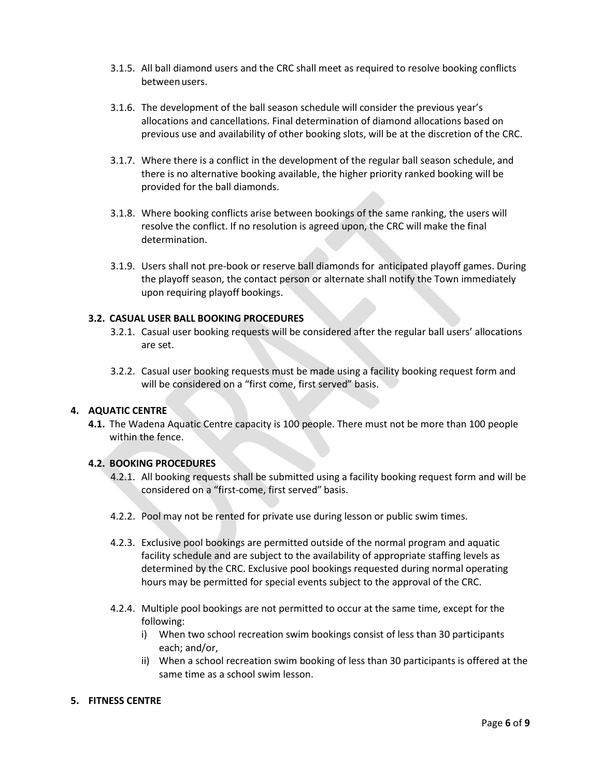- 3.1.5. All ball diamond users and the CRC shall meet as required to resolve booking conflicts between users.
- 3.1.6. The development of the ball season schedule will consider the previous year's allocations and cancellations. Final determination of diamond allocations based on previous use and availability of other booking slots, will be at the discretion of the CRC.
- 3.1.7. Where there is a conflict in the development of the regular ball season schedule, and there is no alternative booking available, the higher priority ranked booking will be provided for the ball diamonds.
- 3.1.8. Where booking conflicts arise between bookings of the same ranking, the users will resolve the conflict. If no resolution is agreed upon, the CRC will make the final determination.
- 3.1.9. Users shall not pre-book or reserve ball diamonds for anticipated playoff games. During the playoff season, the contact person or alternate shall notify the Town immediately upon requiring playoff bookings.

#### **3.2. CASUAL USER BALL BOOKING PROCEDURES**

- 3.2.1. Casual user booking requests will be considered after the regular ball users' allocations are set.
- 3.2.2. Casual user booking requests must be made using a facility booking request form and will be considered on a "first come, first served" basis.

#### **4. AQUATIC CENTRE**

**4.1.** The Wadena Aquatic Centre capacity is 100 people. There must not be more than 100 people within the fence.

#### **4.2. BOOKING PROCEDURES**

- 4.2.1. All booking requests shall be submitted using a facility booking request form and will be considered on a "first-come, first served" basis.
- 4.2.2. Pool may not be rented for private use during lesson or public swim times.
- 4.2.3. Exclusive pool bookings are permitted outside of the normal program and aquatic facility schedule and are subject to the availability of appropriate staffing levels as determined by the CRC. Exclusive pool bookings requested during normal operating hours may be permitted for special events subject to the approval of the CRC.
- 4.2.4. Multiple pool bookings are not permitted to occur at the same time, except for the following:
	- i) When two school recreation swim bookings consist of less than 30 participants each; and/or,
	- ii) When a school recreation swim booking of less than 30 participants is offered at the same time as a school swim lesson.

#### **5. FITNESS CENTRE**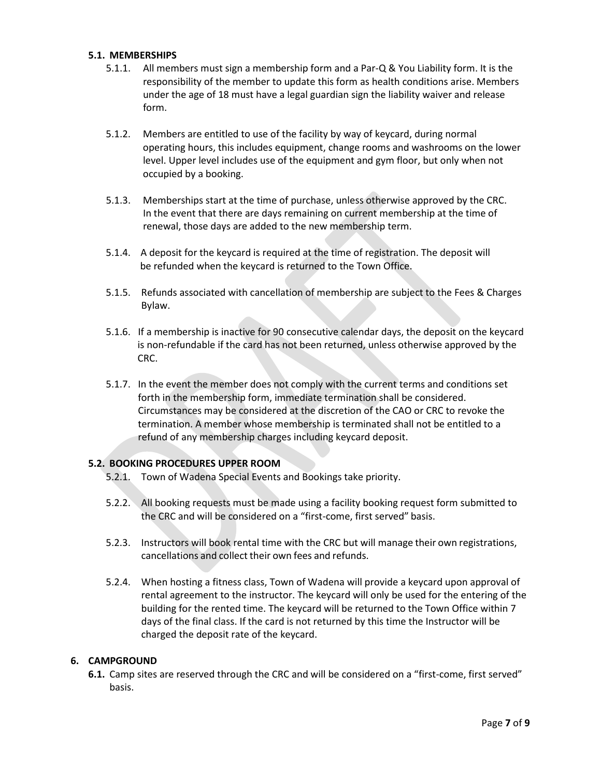#### **5.1. MEMBERSHIPS**

- 5.1.1. All members must sign a membership form and a Par-Q & You Liability form. It is the responsibility of the member to update this form as health conditions arise. Members under the age of 18 must have a legal guardian sign the liability waiver and release form.
- 5.1.2. Members are entitled to use of the facility by way of keycard, during normal operating hours, this includes equipment, change rooms and washrooms on the lower level. Upper level includes use of the equipment and gym floor, but only when not occupied by a booking.
- 5.1.3. Memberships start at the time of purchase, unless otherwise approved by the CRC. In the event that there are days remaining on current membership at the time of renewal, those days are added to the new membership term.
- 5.1.4.A deposit for the keycard is required at the time of registration. The deposit will be refunded when the keycard is returned to the Town Office.
- 5.1.5. Refunds associated with cancellation of membership are subject to the Fees & Charges Bylaw.
- 5.1.6.If a membership is inactive for 90 consecutive calendar days, the deposit on the keycard is non-refundable if the card has not been returned, unless otherwise approved by the CRC.
- 5.1.7. In the event the member does not comply with the current terms and conditions set forth in the membership form, immediate termination shall be considered. Circumstances may be considered at the discretion of the CAO or CRC to revoke the termination. A member whose membership is terminated shall not be entitled to a refund of any membership charges including keycard deposit.

#### **5.2. BOOKING PROCEDURES UPPER ROOM**

- 5.2.1. Town of Wadena Special Events and Bookings take priority.
- 5.2.2. All booking requests must be made using a facility booking request form submitted to the CRC and will be considered on a "first-come, first served" basis.
- 5.2.3. Instructors will book rental time with the CRC but will manage their own registrations, cancellations and collect their own fees and refunds.
- 5.2.4. When hosting a fitness class, Town of Wadena will provide a keycard upon approval of rental agreement to the instructor. The keycard will only be used for the entering of the building for the rented time. The keycard will be returned to the Town Office within 7 days of the final class. If the card is not returned by this time the Instructor will be charged the deposit rate of the keycard.

#### **6. CAMPGROUND**

**6.1.** Camp sites are reserved through the CRC and will be considered on a "first-come, first served" basis.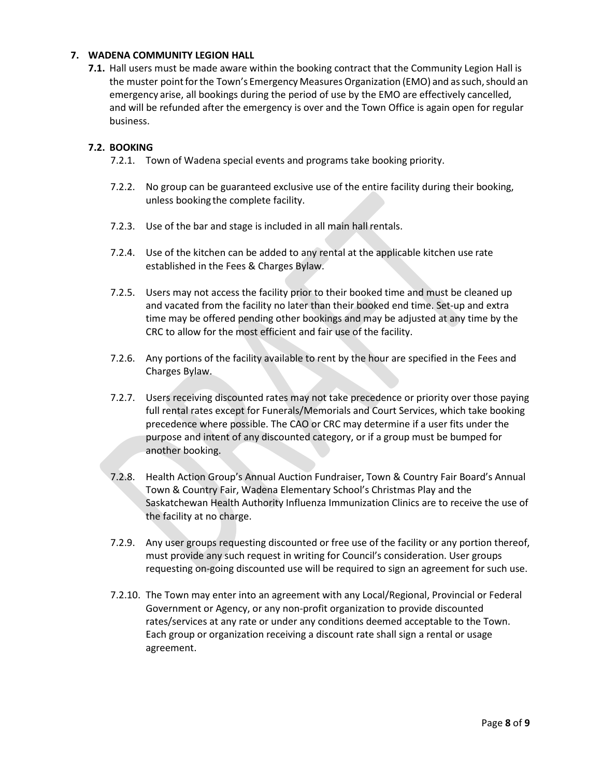#### **7. WADENA COMMUNITY LEGION HALL**

**7.1.** Hall users must be made aware within the booking contract that the Community Legion Hall is the muster point for the Town's Emergency Measures Organization (EMO) and as such, should an emergency arise, all bookings during the period of use by the EMO are effectively cancelled, and will be refunded after the emergency is over and the Town Office is again open for regular business.

#### **7.2. BOOKING**

- 7.2.1. Town of Wadena special events and programs take booking priority.
- 7.2.2. No group can be guaranteed exclusive use of the entire facility during their booking, unless bookingthe complete facility.
- 7.2.3. Use of the bar and stage is included in all main hall rentals.
- 7.2.4. Use of the kitchen can be added to any rental at the applicable kitchen use rate established in the Fees & Charges Bylaw.
- 7.2.5. Users may not access the facility prior to their booked time and must be cleaned up and vacated from the facility no later than their booked end time. Set-up and extra time may be offered pending other bookings and may be adjusted at any time by the CRC to allow for the most efficient and fair use of the facility.
- 7.2.6. Any portions of the facility available to rent by the hour are specified in the Fees and Charges Bylaw.
- 7.2.7. Users receiving discounted rates may not take precedence or priority over those paying full rental rates except for Funerals/Memorials and Court Services, which take booking precedence where possible. The CAO or CRC may determine if a user fits under the purpose and intent of any discounted category, or if a group must be bumped for another booking.
- 7.2.8. Health Action Group's Annual Auction Fundraiser, Town & Country Fair Board's Annual Town & Country Fair, Wadena Elementary School's Christmas Play and the Saskatchewan Health Authority Influenza Immunization Clinics are to receive the use of the facility at no charge.
- 7.2.9. Any user groups requesting discounted or free use of the facility or any portion thereof, must provide any such request in writing for Council's consideration. User groups requesting on-going discounted use will be required to sign an agreement for such use.
- 7.2.10. The Town may enter into an agreement with any Local/Regional, Provincial or Federal Government or Agency, or any non-profit organization to provide discounted rates/services at any rate or under any conditions deemed acceptable to the Town. Each group or organization receiving a discount rate shall sign a rental or usage agreement.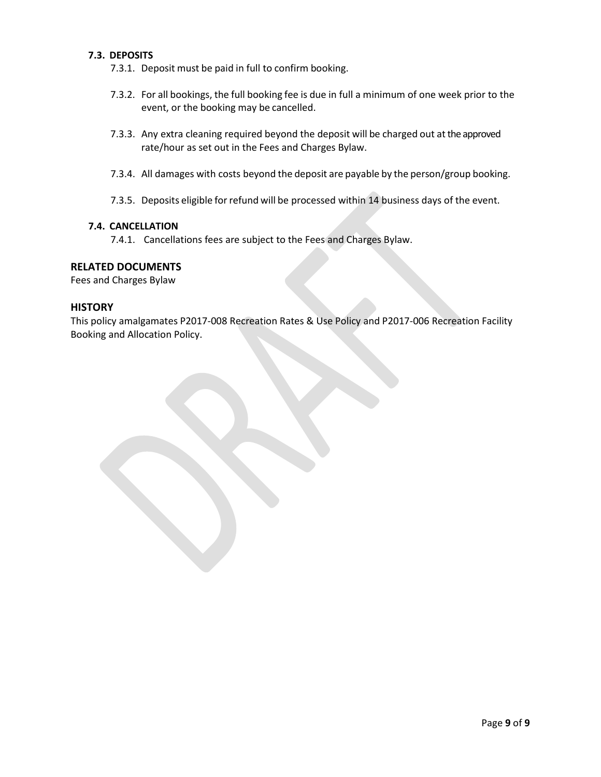#### **7.3. DEPOSITS**

- 7.3.1. Deposit must be paid in full to confirm booking.
- 7.3.2. For all bookings, the full booking fee is due in full a minimum of one week prior to the event, or the booking may be cancelled.
- 7.3.3. Any extra cleaning required beyond the deposit will be charged out at the approved rate/hour as set out in the Fees and Charges Bylaw.
- 7.3.4. All damages with costs beyond the deposit are payable by the person/group booking.
- 7.3.5. Deposits eligible for refund will be processed within 14 business days of the event.

#### **7.4. CANCELLATION**

7.4.1. Cancellations fees are subject to the Fees and Charges Bylaw.

#### **RELATED DOCUMENTS**

Fees and Charges Bylaw

#### **HISTORY**

This policy amalgamates P2017-008 Recreation Rates & Use Policy and P2017-006 Recreation Facility Booking and Allocation Policy.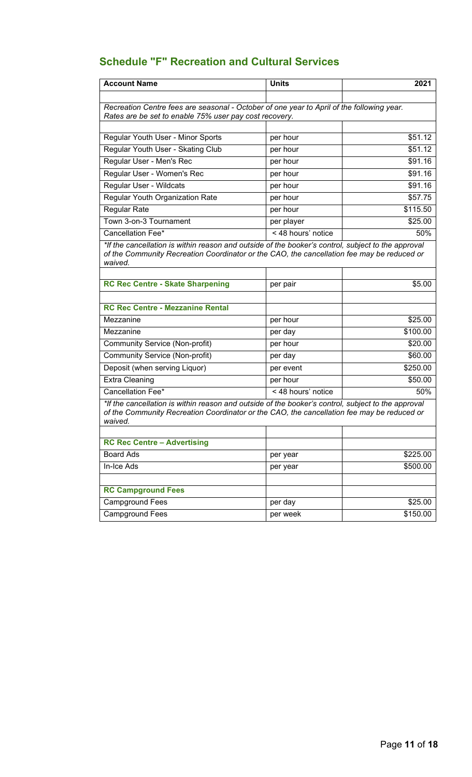# **Schedule "F" Recreation and Cultural Services**

| <b>Account Name</b>                                                                                                                                                                                         | <b>Units</b>       | 2021     |
|-------------------------------------------------------------------------------------------------------------------------------------------------------------------------------------------------------------|--------------------|----------|
|                                                                                                                                                                                                             |                    |          |
| Recreation Centre fees are seasonal - October of one year to April of the following year.<br>Rates are be set to enable 75% user pay cost recovery.                                                         |                    |          |
|                                                                                                                                                                                                             |                    |          |
| Regular Youth User - Minor Sports                                                                                                                                                                           | per hour           | \$51.12  |
| Regular Youth User - Skating Club                                                                                                                                                                           | per hour           | \$51.12  |
| Regular User - Men's Rec                                                                                                                                                                                    | per hour           | \$91.16  |
| Regular User - Women's Rec                                                                                                                                                                                  | per hour           | \$91.16  |
| Regular User - Wildcats                                                                                                                                                                                     | per hour           | \$91.16  |
| Regular Youth Organization Rate                                                                                                                                                                             | per hour           | \$57.75  |
| <b>Regular Rate</b>                                                                                                                                                                                         | per hour           | \$115.50 |
| Town 3-on-3 Tournament                                                                                                                                                                                      | per player         | \$25.00  |
| Cancellation Fee*                                                                                                                                                                                           | < 48 hours' notice | 50%      |
| *If the cancellation is within reason and outside of the booker's control, subject to the approval<br>of the Community Recreation Coordinator or the CAO, the cancellation fee may be reduced or<br>waived. |                    |          |
|                                                                                                                                                                                                             |                    |          |
| <b>RC Rec Centre - Skate Sharpening</b>                                                                                                                                                                     | per pair           | \$5.00   |
| <b>RC Rec Centre - Mezzanine Rental</b>                                                                                                                                                                     |                    |          |
| Mezzanine                                                                                                                                                                                                   | per hour           | \$25.00  |
| Mezzanine                                                                                                                                                                                                   | per day            | \$100.00 |
| <b>Community Service (Non-profit)</b>                                                                                                                                                                       | per hour           | \$20.00  |
| <b>Community Service (Non-profit)</b>                                                                                                                                                                       | per day            | \$60.00  |
| Deposit (when serving Liquor)                                                                                                                                                                               | per event          | \$250.00 |
| <b>Extra Cleaning</b>                                                                                                                                                                                       | per hour           | \$50.00  |
| Cancellation Fee*                                                                                                                                                                                           | < 48 hours' notice | 50%      |
| *If the cancellation is within reason and outside of the booker's control, subject to the approval<br>of the Community Recreation Coordinator or the CAO, the cancellation fee may be reduced or<br>waived. |                    |          |
| <b>RC Rec Centre - Advertising</b>                                                                                                                                                                          |                    |          |
| <b>Board Ads</b>                                                                                                                                                                                            | per year           | \$225.00 |
| In-Ice Ads                                                                                                                                                                                                  |                    | \$500.00 |
|                                                                                                                                                                                                             | per year           |          |
| <b>RC Campground Fees</b>                                                                                                                                                                                   |                    |          |
| Campground Fees                                                                                                                                                                                             | per day            | \$25.00  |
| <b>Campground Fees</b>                                                                                                                                                                                      | per week           | \$150.00 |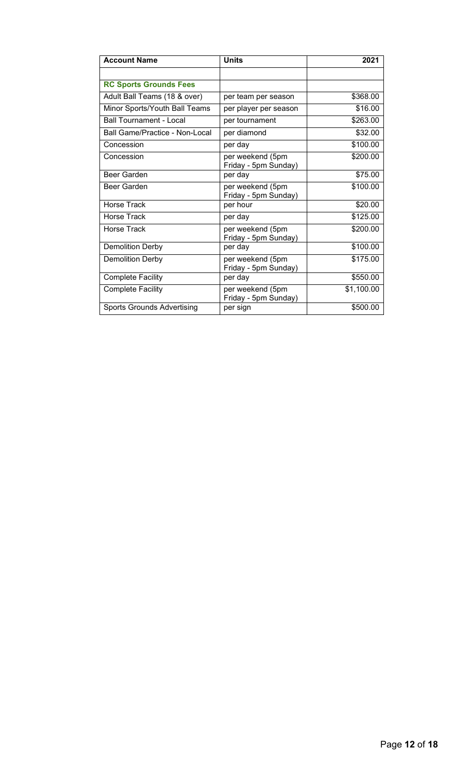| <b>Account Name</b>               | <b>Units</b>                             | 2021       |
|-----------------------------------|------------------------------------------|------------|
|                                   |                                          |            |
| <b>RC Sports Grounds Fees</b>     |                                          |            |
| Adult Ball Teams (18 & over)      | per team per season                      | \$368.00   |
| Minor Sports/Youth Ball Teams     | per player per season                    | \$16.00    |
| <b>Ball Tournament - Local</b>    | per tournament                           | \$263.00   |
| Ball Game/Practice - Non-Local    | per diamond                              | \$32.00    |
| Concession                        | per day                                  | \$100.00   |
| Concession                        | per weekend (5pm<br>Friday - 5pm Sunday) | \$200.00   |
| <b>Beer Garden</b>                | per day                                  | \$75.00    |
| Beer Garden                       | per weekend (5pm<br>Friday - 5pm Sunday) | \$100.00   |
| Horse Track                       | per hour                                 | \$20.00    |
| <b>Horse Track</b>                | per day                                  | \$125.00   |
| Horse Track                       | per weekend (5pm<br>Friday - 5pm Sunday) | \$200.00   |
| <b>Demolition Derby</b>           | per day                                  | \$100.00   |
| <b>Demolition Derby</b>           | per weekend (5pm<br>Friday - 5pm Sunday) | \$175.00   |
| <b>Complete Facility</b>          | per day                                  | \$550.00   |
| <b>Complete Facility</b>          | per weekend (5pm<br>Friday - 5pm Sunday) | \$1,100.00 |
| <b>Sports Grounds Advertising</b> | per sign                                 | \$500.00   |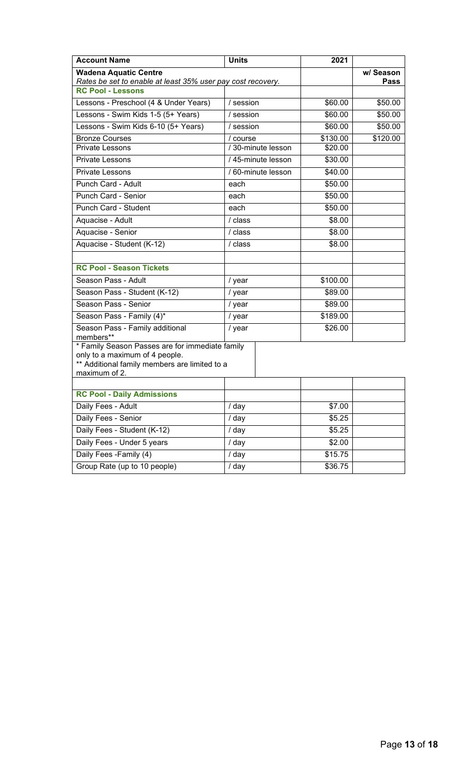| <b>Account Name</b>                                                                                                                                 | <b>Units</b>       | 2021               |             |
|-----------------------------------------------------------------------------------------------------------------------------------------------------|--------------------|--------------------|-------------|
| <b>Wadena Aquatic Centre</b>                                                                                                                        |                    |                    | w/ Season   |
| Rates be set to enable at least 35% user pay cost recovery.<br><b>RC Pool - Lessons</b>                                                             |                    |                    | <b>Pass</b> |
| Lessons - Preschool (4 & Under Years)                                                                                                               | / session          | \$60.00            | \$50.00     |
| Lessons - Swim Kids 1-5 (5+ Years)                                                                                                                  | / session          | \$60.00            | \$50.00     |
| Lessons - Swim Kids 6-10 (5+ Years)                                                                                                                 | / session          | \$60.00            | \$50.00     |
| <b>Bronze Courses</b>                                                                                                                               | / course           | \$130.00           | \$120.00    |
| <b>Private Lessons</b>                                                                                                                              | /30-minute lesson  | \$20.00            |             |
| Private Lessons                                                                                                                                     | / 45-minute lesson | \$30.00            |             |
| Private Lessons                                                                                                                                     | / 60-minute lesson | \$40.00            |             |
| Punch Card - Adult                                                                                                                                  | each               | \$50.00            |             |
| Punch Card - Senior                                                                                                                                 | each               | \$50.00            |             |
| Punch Card - Student                                                                                                                                | each               | \$50.00            |             |
| Aquacise - Adult                                                                                                                                    | / class            | \$8.00             |             |
| Aquacise - Senior                                                                                                                                   | / class            | \$8.00             |             |
| Aquacise - Student (K-12)                                                                                                                           | / class            | \$8.00             |             |
|                                                                                                                                                     |                    |                    |             |
| <b>RC Pool - Season Tickets</b>                                                                                                                     |                    |                    |             |
| Season Pass - Adult                                                                                                                                 | / year             | \$100.00           |             |
| Season Pass - Student (K-12)                                                                                                                        | / year             | \$89.00            |             |
| Season Pass - Senior                                                                                                                                | / year             | \$89.00            |             |
| Season Pass - Family (4)*                                                                                                                           | / year             | \$189.00           |             |
| Season Pass - Family additional<br>members**                                                                                                        | / year             | \$26.00            |             |
| * Family Season Passes are for immediate family<br>only to a maximum of 4 people.<br>** Additional family members are limited to a<br>maximum of 2. |                    |                    |             |
|                                                                                                                                                     |                    |                    |             |
| <b>RC Pool - Daily Admissions</b>                                                                                                                   |                    |                    |             |
| Daily Fees - Adult                                                                                                                                  | / day              | \$7.00             |             |
| Daily Fees - Senior                                                                                                                                 | / day              | \$5.25             |             |
| Daily Fees - Student (K-12)                                                                                                                         | / day              | \$5.25             |             |
| Daily Fees - Under 5 years                                                                                                                          | / day              | \$2.00             |             |
| Daily Fees - Family (4)                                                                                                                             | / day              | \$15.75<br>\$36.75 |             |
| Group Rate (up to 10 people)                                                                                                                        | / day              |                    |             |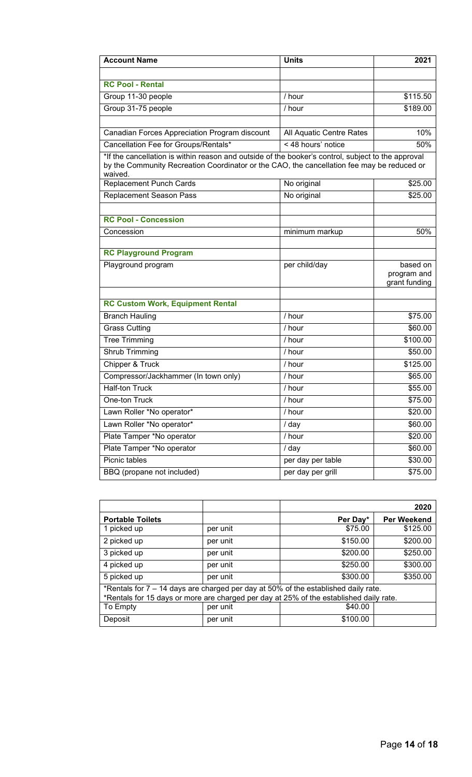| <b>Account Name</b>                                                                                                                                                                                         | <b>Units</b>             | 2021                                     |
|-------------------------------------------------------------------------------------------------------------------------------------------------------------------------------------------------------------|--------------------------|------------------------------------------|
|                                                                                                                                                                                                             |                          |                                          |
| <b>RC Pool - Rental</b>                                                                                                                                                                                     |                          |                                          |
| Group 11-30 people                                                                                                                                                                                          | / hour                   | \$115.50                                 |
| Group 31-75 people                                                                                                                                                                                          | / hour                   | \$189.00                                 |
|                                                                                                                                                                                                             |                          |                                          |
| Canadian Forces Appreciation Program discount                                                                                                                                                               | All Aquatic Centre Rates | 10%                                      |
| Cancellation Fee for Groups/Rentals*                                                                                                                                                                        | < 48 hours' notice       | 50%                                      |
| *If the cancellation is within reason and outside of the booker's control, subject to the approval<br>by the Community Recreation Coordinator or the CAO, the cancellation fee may be reduced or<br>waived. |                          |                                          |
| <b>Replacement Punch Cards</b>                                                                                                                                                                              | No original              | \$25.00                                  |
| <b>Replacement Season Pass</b>                                                                                                                                                                              | No original              | \$25.00                                  |
|                                                                                                                                                                                                             |                          |                                          |
| <b>RC Pool - Concession</b>                                                                                                                                                                                 |                          |                                          |
| Concession                                                                                                                                                                                                  | minimum markup           | 50%                                      |
|                                                                                                                                                                                                             |                          |                                          |
| <b>RC Playground Program</b>                                                                                                                                                                                |                          |                                          |
| Playground program                                                                                                                                                                                          | per child/day            | based on<br>program and<br>grant funding |
|                                                                                                                                                                                                             |                          |                                          |
| <b>RC Custom Work, Equipment Rental</b>                                                                                                                                                                     |                          |                                          |
| <b>Branch Hauling</b>                                                                                                                                                                                       | / hour                   | \$75.00                                  |
| <b>Grass Cutting</b>                                                                                                                                                                                        | / hour                   | \$60.00                                  |
| <b>Tree Trimming</b>                                                                                                                                                                                        | / hour                   | \$100.00                                 |
| Shrub Trimming                                                                                                                                                                                              | / hour                   | \$50.00                                  |
| Chipper & Truck                                                                                                                                                                                             | $/$ hour                 | \$125.00                                 |
| Compressor/Jackhammer (In town only)                                                                                                                                                                        | / hour                   | \$65.00                                  |
| <b>Half-ton Truck</b>                                                                                                                                                                                       | / hour                   | \$55.00                                  |
| One-ton Truck                                                                                                                                                                                               | / hour                   | \$75.00                                  |
| Lawn Roller *No operator*                                                                                                                                                                                   | / hour                   | \$20.00                                  |
| Lawn Roller *No operator*                                                                                                                                                                                   | / day                    | \$60.00                                  |
| Plate Tamper *No operator                                                                                                                                                                                   | / hour                   | \$20.00                                  |
| Plate Tamper *No operator                                                                                                                                                                                   | / day                    | \$60.00                                  |
| Picnic tables                                                                                                                                                                                               | per day per table        | \$30.00                                  |
| BBQ (propane not included)                                                                                                                                                                                  | per day per grill        | \$75.00                                  |

|                                                                                                                                                                              |          |          | 2020               |
|------------------------------------------------------------------------------------------------------------------------------------------------------------------------------|----------|----------|--------------------|
| <b>Portable Toilets</b>                                                                                                                                                      |          | Per Day* | <b>Per Weekend</b> |
| 1 picked up                                                                                                                                                                  | per unit | \$75.00  | \$125.00           |
| 2 picked up                                                                                                                                                                  | per unit | \$150.00 | \$200.00           |
| 3 picked up                                                                                                                                                                  | per unit | \$200.00 | \$250.00           |
| 4 picked up                                                                                                                                                                  | per unit | \$250.00 | \$300.00           |
| 5 picked up                                                                                                                                                                  | per unit | \$300.00 | \$350.00           |
| *Rentals for 7 - 14 days are charged per day at 50% of the established daily rate.<br>*Rentals for 15 days or more are charged per day at 25% of the established daily rate. |          |          |                    |
| To Empty                                                                                                                                                                     | per unit | \$40.00  |                    |
| Deposit                                                                                                                                                                      | per unit | \$100.00 |                    |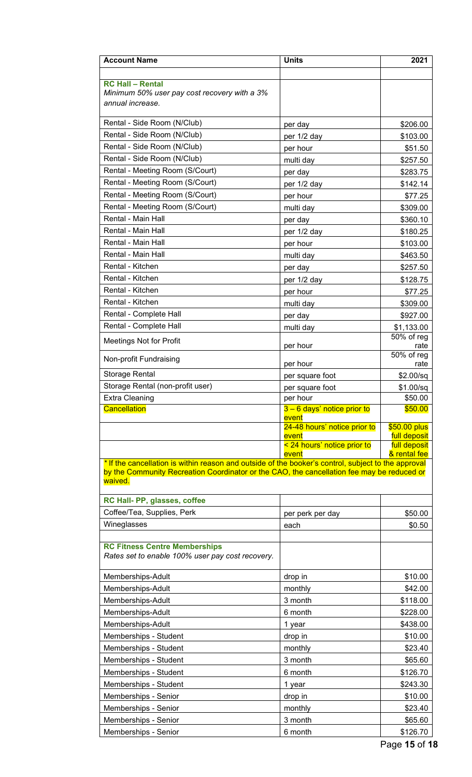| <b>Account Name</b>                                                                                   | <b>Units</b>                          | 2021                         |
|-------------------------------------------------------------------------------------------------------|---------------------------------------|------------------------------|
| <b>RC Hall - Rental</b><br>Minimum 50% user pay cost recovery with a 3%<br>annual increase.           |                                       |                              |
| Rental - Side Room (N/Club)                                                                           | per day                               | \$206.00                     |
| Rental - Side Room (N/Club)                                                                           | per 1/2 day                           | \$103.00                     |
| Rental - Side Room (N/Club)                                                                           | per hour                              | \$51.50                      |
| Rental - Side Room (N/Club)                                                                           | multi day                             | \$257.50                     |
| Rental - Meeting Room (S/Court)                                                                       | per day                               | \$283.75                     |
| Rental - Meeting Room (S/Court)                                                                       | per 1/2 day                           | \$142.14                     |
| Rental - Meeting Room (S/Court)                                                                       | per hour                              | \$77.25                      |
| Rental - Meeting Room (S/Court)                                                                       | multi day                             | \$309.00                     |
| Rental - Main Hall                                                                                    | per day                               | \$360.10                     |
| Rental - Main Hall                                                                                    | per 1/2 day                           | \$180.25                     |
| Rental - Main Hall                                                                                    | per hour                              | \$103.00                     |
| Rental - Main Hall                                                                                    | multi day                             | \$463.50                     |
| Rental - Kitchen                                                                                      | per day                               | \$257.50                     |
| Rental - Kitchen                                                                                      | per 1/2 day                           | \$128.75                     |
| Rental - Kitchen                                                                                      | per hour                              | \$77.25                      |
| Rental - Kitchen                                                                                      | multi day                             | \$309.00                     |
| Rental - Complete Hall                                                                                | per day                               | \$927.00                     |
| Rental - Complete Hall                                                                                | multi day                             | \$1,133.00                   |
| <b>Meetings Not for Profit</b>                                                                        |                                       | 50% of reg                   |
|                                                                                                       | per hour                              | rate<br>50% of reg           |
| Non-profit Fundraising                                                                                | per hour                              | rate                         |
| Storage Rental                                                                                        | per square foot                       | \$2.00/sq                    |
| Storage Rental (non-profit user)                                                                      | per square foot                       | \$1.00/sq                    |
| <b>Extra Cleaning</b>                                                                                 | per hour                              | \$50.00                      |
| <b>Cancellation</b>                                                                                   | $3 - 6$ days' notice prior to         | \$50.00                      |
|                                                                                                       | event<br>24-48 hours' notice prior to | \$50.00 plus                 |
|                                                                                                       | event                                 | full deposit                 |
|                                                                                                       | < 24 hours' notice prior to           | full deposit<br>& rental fee |
| * If the cancellation is within reason and outside of the booker's control, subject to the approval   | event                                 |                              |
| by the Community Recreation Coordinator or the CAO, the cancellation fee may be reduced or<br>waived. |                                       |                              |
| RC Hall- PP, glasses, coffee                                                                          |                                       |                              |
| Coffee/Tea, Supplies, Perk                                                                            | per perk per day                      | \$50.00                      |
| Wineglasses                                                                                           | each                                  | \$0.50                       |
| <b>RC Fitness Centre Memberships</b><br>Rates set to enable 100% user pay cost recovery.              |                                       |                              |
| Memberships-Adult                                                                                     | drop in                               | \$10.00                      |
| Memberships-Adult                                                                                     | monthly                               | \$42.00                      |
| Memberships-Adult                                                                                     | 3 month                               | \$118.00                     |
| Memberships-Adult                                                                                     | 6 month                               | \$228.00                     |
| Memberships-Adult                                                                                     | 1 year                                | \$438.00                     |
| Memberships - Student                                                                                 | drop in                               | \$10.00                      |
| Memberships - Student                                                                                 | monthly                               | \$23.40                      |
| Memberships - Student                                                                                 | 3 month                               | \$65.60                      |
| Memberships - Student                                                                                 | 6 month                               | \$126.70                     |
| Memberships - Student                                                                                 | 1 year                                | \$243.30                     |
| Memberships - Senior                                                                                  | drop in                               | \$10.00                      |
| Memberships - Senior                                                                                  | monthly                               | \$23.40                      |
| Memberships - Senior                                                                                  | 3 month                               | \$65.60                      |
| Memberships - Senior                                                                                  | 6 month                               | \$126.70                     |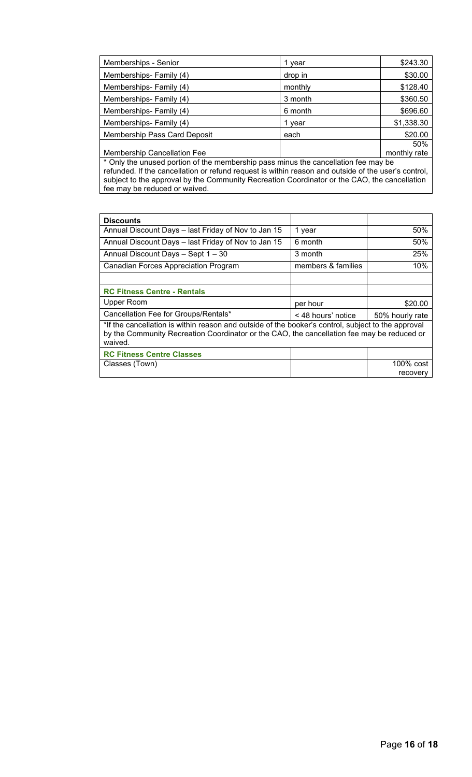| Memberships - Senior                                                                        | 1 vear  | \$243.30     |
|---------------------------------------------------------------------------------------------|---------|--------------|
| Memberships-Family (4)                                                                      | drop in | \$30.00      |
| Memberships- Family (4)                                                                     | monthly | \$128.40     |
| Memberships- Family (4)                                                                     | 3 month | \$360.50     |
| Memberships-Family (4)                                                                      | 6 month | \$696.60     |
| Memberships-Family (4)                                                                      | 1 vear  | \$1,338.30   |
| <b>Membership Pass Card Deposit</b>                                                         | each    | \$20.00      |
|                                                                                             |         | 50%          |
| <b>Membership Cancellation Fee</b>                                                          |         | monthly rate |
| $\star$ Only the worse disembles of the measurable peace minute the expectation for measure |         |              |

\* Only the unused portion of the membership pass minus the cancellation fee may be refunded. If the cancellation or refund request is within reason and outside of the user's control, subject to the approval by the Community Recreation Coordinator or the CAO, the cancellation fee may be reduced or waived.

| <b>Discounts</b>                                                                                                                                                                                            |                    |                 |
|-------------------------------------------------------------------------------------------------------------------------------------------------------------------------------------------------------------|--------------------|-----------------|
| Annual Discount Days - last Friday of Nov to Jan 15                                                                                                                                                         | 1 year             | 50%             |
| Annual Discount Days - last Friday of Nov to Jan 15                                                                                                                                                         | 6 month            | 50%             |
| Annual Discount Days - Sept 1 - 30                                                                                                                                                                          | 3 month            | 25%             |
| Canadian Forces Appreciation Program                                                                                                                                                                        | members & families | 10%             |
|                                                                                                                                                                                                             |                    |                 |
| <b>RC Fitness Centre - Rentals</b>                                                                                                                                                                          |                    |                 |
| Upper Room                                                                                                                                                                                                  | per hour           | \$20.00         |
| Cancellation Fee for Groups/Rentals*                                                                                                                                                                        | < 48 hours' notice | 50% hourly rate |
| *If the cancellation is within reason and outside of the booker's control, subject to the approval<br>by the Community Recreation Coordinator or the CAO, the cancellation fee may be reduced or<br>waived. |                    |                 |
| <b>RC Fitness Centre Classes</b>                                                                                                                                                                            |                    |                 |
| Classes (Town)                                                                                                                                                                                              |                    | $100\%$ cost    |
|                                                                                                                                                                                                             |                    | recovery        |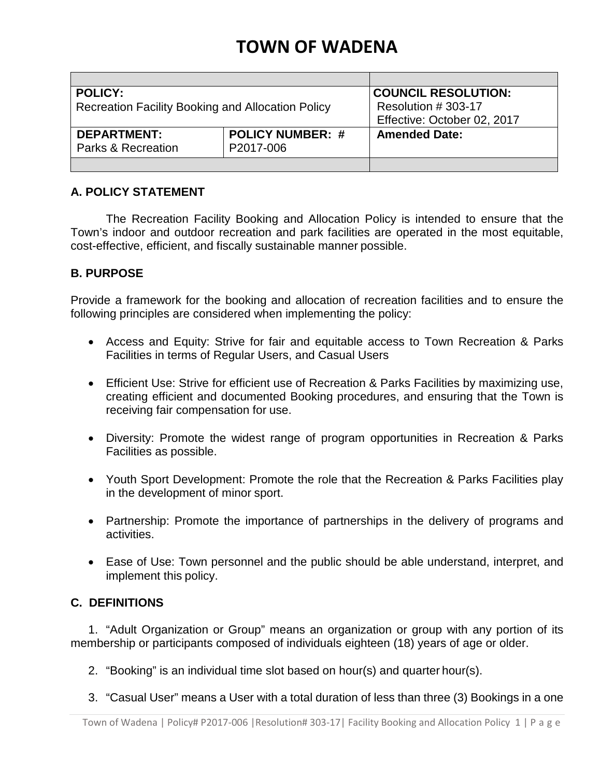# **TOWN OF WADENA**

| <b>POLICY:</b>                                           | <b>COUNCIL RESOLUTION:</b>  |                      |
|----------------------------------------------------------|-----------------------------|----------------------|
| <b>Recreation Facility Booking and Allocation Policy</b> | Resolution # 303-17         |                      |
|                                                          | Effective: October 02, 2017 |                      |
| <b>DEPARTMENT:</b>                                       | <b>POLICY NUMBER: #</b>     | <b>Amended Date:</b> |
| P2017-006<br>Parks & Recreation                          |                             |                      |
|                                                          |                             |                      |

# **A. POLICY STATEMENT**

The Recreation Facility Booking and Allocation Policy is intended to ensure that the Town's indoor and outdoor recreation and park facilities are operated in the most equitable, cost-effective, efficient, and fiscally sustainable manner possible.

# **B. PURPOSE**

Provide a framework for the booking and allocation of recreation facilities and to ensure the following principles are considered when implementing the policy:

- Access and Equity: Strive for fair and equitable access to Town Recreation & Parks Facilities in terms of Regular Users, and Casual Users
- Efficient Use: Strive for efficient use of Recreation & Parks Facilities by maximizing use, creating efficient and documented Booking procedures, and ensuring that the Town is receiving fair compensation for use.
- Diversity: Promote the widest range of program opportunities in Recreation & Parks Facilities as possible.
- Youth Sport Development: Promote the role that the Recreation & Parks Facilities play in the development of minor sport.
- Partnership: Promote the importance of partnerships in the delivery of programs and activities.
- Ease of Use: Town personnel and the public should be able understand, interpret, and implement this policy.

# **C. DEFINITIONS**

1. "Adult Organization or Group" means an organization or group with any portion of its membership or participants composed of individuals eighteen (18) years of age or older.

- 2. "Booking" is an individual time slot based on hour(s) and quarter hour(s).
- 3. "Casual User" means a User with a total duration of less than three (3) Bookings in a one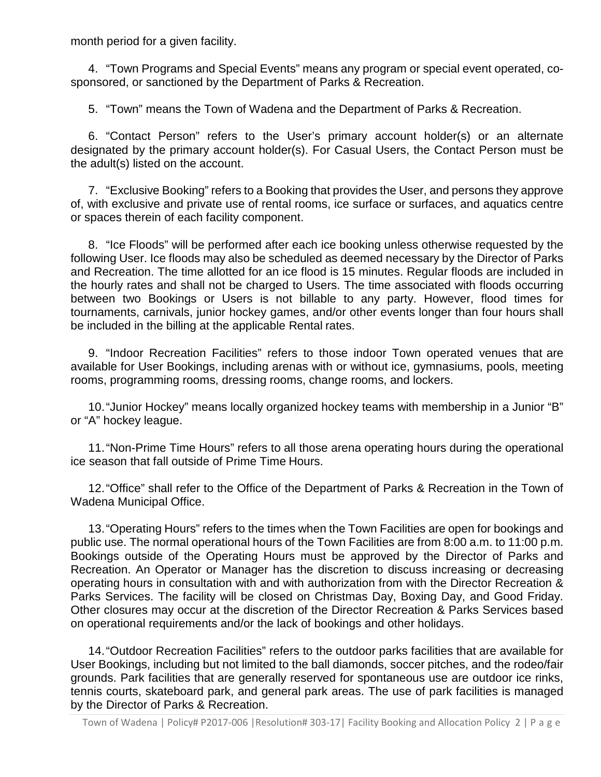month period for a given facility.

4. "Town Programs and Special Events" means any program or special event operated, cosponsored, or sanctioned by the Department of Parks & Recreation.

5. "Town" means the Town of Wadena and the Department of Parks & Recreation.

6. "Contact Person" refers to the User's primary account holder(s) or an alternate designated by the primary account holder(s). For Casual Users, the Contact Person must be the adult(s) listed on the account.

7. "Exclusive Booking" refers to a Booking that provides the User, and persons they approve of, with exclusive and private use of rental rooms, ice surface or surfaces, and aquatics centre or spaces therein of each facility component.

8. "Ice Floods" will be performed after each ice booking unless otherwise requested by the following User. Ice floods may also be scheduled as deemed necessary by the Director of Parks and Recreation. The time allotted for an ice flood is 15 minutes. Regular floods are included in the hourly rates and shall not be charged to Users. The time associated with floods occurring between two Bookings or Users is not billable to any party. However, flood times for tournaments, carnivals, junior hockey games, and/or other events longer than four hours shall be included in the billing at the applicable Rental rates.

9. "Indoor Recreation Facilities" refers to those indoor Town operated venues that are available for User Bookings, including arenas with or without ice, gymnasiums, pools, meeting rooms, programming rooms, dressing rooms, change rooms, and lockers.

10."Junior Hockey" means locally organized hockey teams with membership in a Junior "B" or "A" hockey league.

11."Non-Prime Time Hours" refers to all those arena operating hours during the operational ice season that fall outside of Prime Time Hours.

12."Office" shall refer to the Office of the Department of Parks & Recreation in the Town of Wadena Municipal Office.

13."Operating Hours" refers to the times when the Town Facilities are open for bookings and public use. The normal operational hours of the Town Facilities are from 8:00 a.m. to 11:00 p.m. Bookings outside of the Operating Hours must be approved by the Director of Parks and Recreation. An Operator or Manager has the discretion to discuss increasing or decreasing operating hours in consultation with and with authorization from with the Director Recreation & Parks Services. The facility will be closed on Christmas Day, Boxing Day, and Good Friday. Other closures may occur at the discretion of the Director Recreation & Parks Services based on operational requirements and/or the lack of bookings and other holidays.

14."Outdoor Recreation Facilities" refers to the outdoor parks facilities that are available for User Bookings, including but not limited to the ball diamonds, soccer pitches, and the rodeo/fair grounds. Park facilities that are generally reserved for spontaneous use are outdoor ice rinks, tennis courts, skateboard park, and general park areas. The use of park facilities is managed by the Director of Parks & Recreation.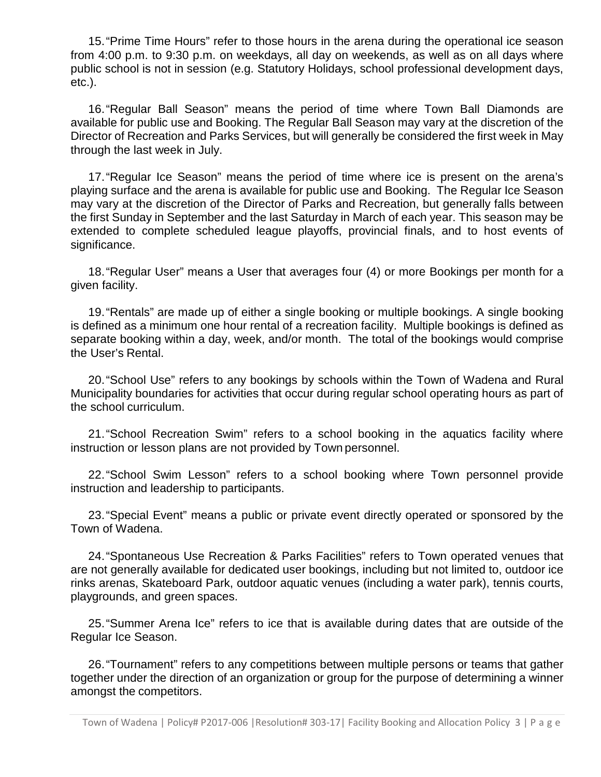15."Prime Time Hours" refer to those hours in the arena during the operational ice season from 4:00 p.m. to 9:30 p.m. on weekdays, all day on weekends, as well as on all days where public school is not in session (e.g. Statutory Holidays, school professional development days, etc.).

16."Regular Ball Season" means the period of time where Town Ball Diamonds are available for public use and Booking. The Regular Ball Season may vary at the discretion of the Director of Recreation and Parks Services, but will generally be considered the first week in May through the last week in July.

17."Regular Ice Season" means the period of time where ice is present on the arena's playing surface and the arena is available for public use and Booking. The Regular Ice Season may vary at the discretion of the Director of Parks and Recreation, but generally falls between the first Sunday in September and the last Saturday in March of each year. This season may be extended to complete scheduled league playoffs, provincial finals, and to host events of significance.

18."Regular User" means a User that averages four (4) or more Bookings per month for a given facility.

19."Rentals" are made up of either a single booking or multiple bookings. A single booking is defined as a minimum one hour rental of a recreation facility. Multiple bookings is defined as separate booking within a day, week, and/or month. The total of the bookings would comprise the User's Rental.

20."School Use" refers to any bookings by schools within the Town of Wadena and Rural Municipality boundaries for activities that occur during regular school operating hours as part of the school curriculum.

21."School Recreation Swim" refers to a school booking in the aquatics facility where instruction or lesson plans are not provided by Town personnel.

22."School Swim Lesson" refers to a school booking where Town personnel provide instruction and leadership to participants.

23."Special Event" means a public or private event directly operated or sponsored by the Town of Wadena.

24."Spontaneous Use Recreation & Parks Facilities" refers to Town operated venues that are not generally available for dedicated user bookings, including but not limited to, outdoor ice rinks arenas, Skateboard Park, outdoor aquatic venues (including a water park), tennis courts, playgrounds, and green spaces.

25."Summer Arena Ice" refers to ice that is available during dates that are outside of the Regular Ice Season.

26."Tournament" refers to any competitions between multiple persons or teams that gather together under the direction of an organization or group for the purpose of determining a winner amongst the competitors.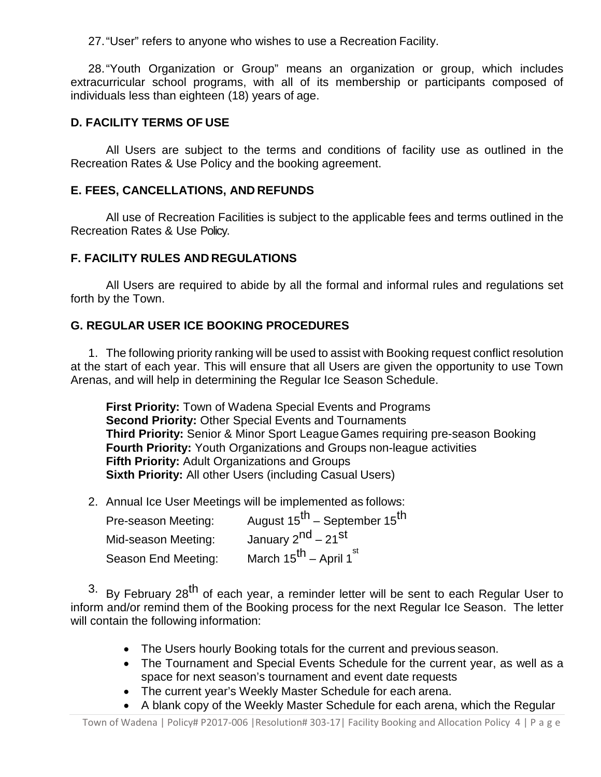27."User" refers to anyone who wishes to use a Recreation Facility.

28."Youth Organization or Group" means an organization or group, which includes extracurricular school programs, with all of its membership or participants composed of individuals less than eighteen (18) years of age.

# **D. FACILITY TERMS OF USE**

All Users are subject to the terms and conditions of facility use as outlined in the Recreation Rates & Use Policy and the booking agreement.

# **E. FEES, CANCELLATIONS, AND REFUNDS**

All use of Recreation Facilities is subject to the applicable fees and terms outlined in the Recreation Rates & Use Policy.

# **F. FACILITY RULES AND REGULATIONS**

All Users are required to abide by all the formal and informal rules and regulations set forth by the Town.

# **G. REGULAR USER ICE BOOKING PROCEDURES**

1. The following priority ranking will be used to assist with Booking request conflict resolution at the start of each year. This will ensure that all Users are given the opportunity to use Town Arenas, and will help in determining the Regular Ice Season Schedule.

**First Priority:** Town of Wadena Special Events and Programs **Second Priority:** Other Special Events and Tournaments **Third Priority:** Senior & Minor Sport League Games requiring pre-season Booking **Fourth Priority:** Youth Organizations and Groups non-league activities **Fifth Priority:** Adult Organizations and Groups **Sixth Priority:** All other Users (including Casual Users)

2. Annual Ice User Meetings will be implemented as follows:

| Pre-season Meeting: | August 15 <sup>th</sup> – September 15 <sup>th</sup> |
|---------------------|------------------------------------------------------|
| Mid-season Meeting: | January 2 <sup>nd</sup> – 21 <sup>st</sup>           |
| Season End Meeting: | March 15 <sup>th</sup> – April 1 <sup>st</sup>       |

 $3.$  By February 28<sup>th</sup> of each year, a reminder letter will be sent to each Regular User to inform and/or remind them of the Booking process for the next Regular Ice Season. The letter will contain the following information:

- The Users hourly Booking totals for the current and previous season.
- The Tournament and Special Events Schedule for the current year, as well as a space for next season's tournament and event date requests
- The current year's Weekly Master Schedule for each arena.
- A blank copy of the Weekly Master Schedule for each arena, which the Regular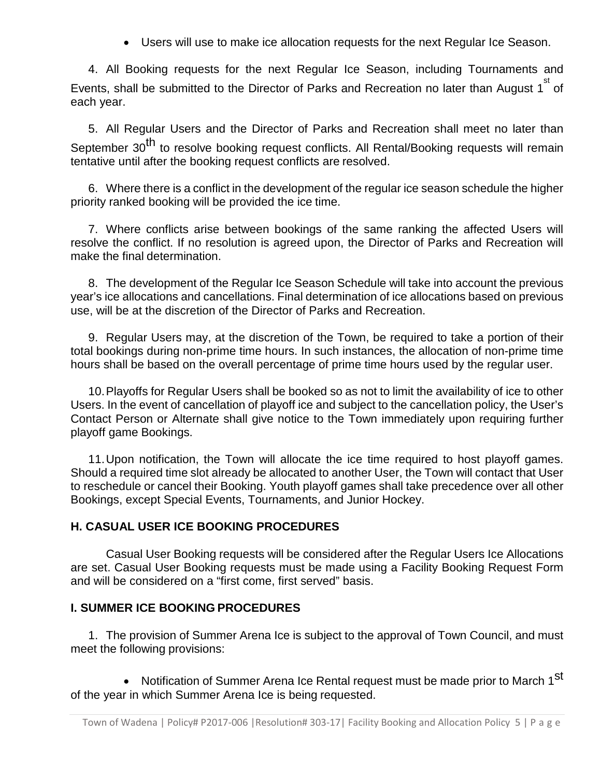• Users will use to make ice allocation requests for the next Regular Ice Season.

4. All Booking requests for the next Regular Ice Season, including Tournaments and Events, shall be submitted to the Director of Parks and Recreation no later than August 1 $^{\rm st}$  of each year.

5. All Regular Users and the Director of Parks and Recreation shall meet no later than September 30<sup>th</sup> to resolve booking request conflicts. All Rental/Booking requests will remain tentative until after the booking request conflicts are resolved.

6. Where there is a conflict in the development of the regular ice season schedule the higher priority ranked booking will be provided the ice time.

7. Where conflicts arise between bookings of the same ranking the affected Users will resolve the conflict. If no resolution is agreed upon, the Director of Parks and Recreation will make the final determination.

8. The development of the Regular Ice Season Schedule will take into account the previous year's ice allocations and cancellations. Final determination of ice allocations based on previous use, will be at the discretion of the Director of Parks and Recreation.

9. Regular Users may, at the discretion of the Town, be required to take a portion of their total bookings during non-prime time hours. In such instances, the allocation of non-prime time hours shall be based on the overall percentage of prime time hours used by the regular user.

10.Playoffs for Regular Users shall be booked so as not to limit the availability of ice to other Users. In the event of cancellation of playoff ice and subject to the cancellation policy, the User's Contact Person or Alternate shall give notice to the Town immediately upon requiring further playoff game Bookings.

11.Upon notification, the Town will allocate the ice time required to host playoff games. Should a required time slot already be allocated to another User, the Town will contact that User to reschedule or cancel their Booking. Youth playoff games shall take precedence over all other Bookings, except Special Events, Tournaments, and Junior Hockey.

# **H. CASUAL USER ICE BOOKING PROCEDURES**

Casual User Booking requests will be considered after the Regular Users Ice Allocations are set. Casual User Booking requests must be made using a Facility Booking Request Form and will be considered on a "first come, first served" basis.

# **I. SUMMER ICE BOOKING PROCEDURES**

1. The provision of Summer Arena Ice is subject to the approval of Town Council, and must meet the following provisions:

• Notification of Summer Arena Ice Rental request must be made prior to March 1<sup>st</sup> of the year in which Summer Arena Ice is being requested.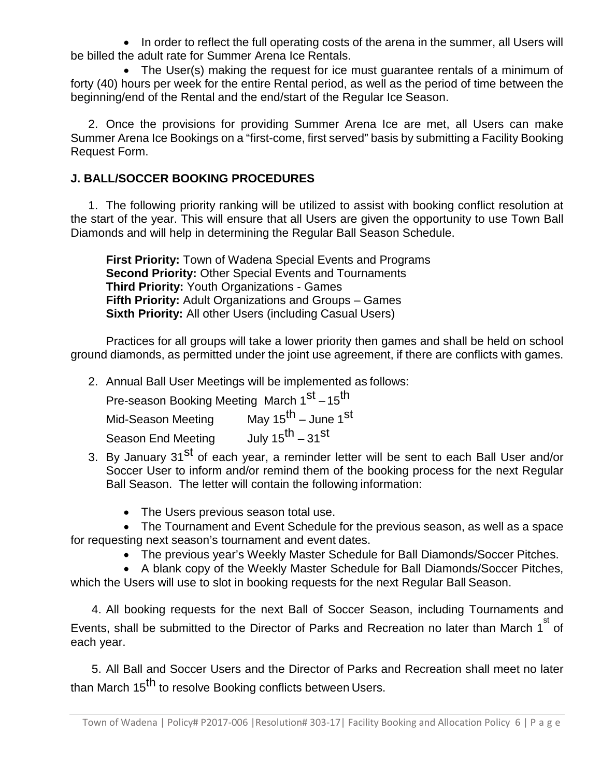• In order to reflect the full operating costs of the arena in the summer, all Users will be billed the adult rate for Summer Arena Ice Rentals.

• The User(s) making the request for ice must guarantee rentals of a minimum of forty (40) hours per week for the entire Rental period, as well as the period of time between the beginning/end of the Rental and the end/start of the Regular Ice Season.

2. Once the provisions for providing Summer Arena Ice are met, all Users can make Summer Arena Ice Bookings on a "first-come, first served" basis by submitting a Facility Booking Request Form.

# **J. BALL/SOCCER BOOKING PROCEDURES**

1. The following priority ranking will be utilized to assist with booking conflict resolution at the start of the year. This will ensure that all Users are given the opportunity to use Town Ball Diamonds and will help in determining the Regular Ball Season Schedule.

**First Priority:** Town of Wadena Special Events and Programs **Second Priority:** Other Special Events and Tournaments **Third Priority:** Youth Organizations - Games **Fifth Priority:** Adult Organizations and Groups – Games **Sixth Priority:** All other Users (including Casual Users)

Practices for all groups will take a lower priority then games and shall be held on school ground diamonds, as permitted under the joint use agreement, if there are conflicts with games.

2. Annual Ball User Meetings will be implemented as follows:

| Pre-season Booking Meeting March 1st -15 <sup>th</sup> |                                             |
|--------------------------------------------------------|---------------------------------------------|
| Mid-Season Meeting                                     | May $15^{\text{th}}$ – June 1 <sup>st</sup> |
| <b>Season End Meeting</b>                              | July $15^{\text{th}} - 31^{\text{st}}$      |

- 3. By January 31<sup>st</sup> of each year, a reminder letter will be sent to each Ball User and/or Soccer User to inform and/or remind them of the booking process for the next Regular Ball Season. The letter will contain the following information:
	- The Users previous season total use.
- The Tournament and Event Schedule for the previous season, as well as a space for requesting next season's tournament and event dates.
	- The previous year's Weekly Master Schedule for Ball Diamonds/Soccer Pitches.

• A blank copy of the Weekly Master Schedule for Ball Diamonds/Soccer Pitches, which the Users will use to slot in booking requests for the next Regular Ball Season.

4. All booking requests for the next Ball of Soccer Season, including Tournaments and Events, shall be submitted to the Director of Parks and Recreation no later than March 1 $^{\rm st}$  of each year.

5. All Ball and Soccer Users and the Director of Parks and Recreation shall meet no later than March 15<sup>th</sup> to resolve Booking conflicts between Users.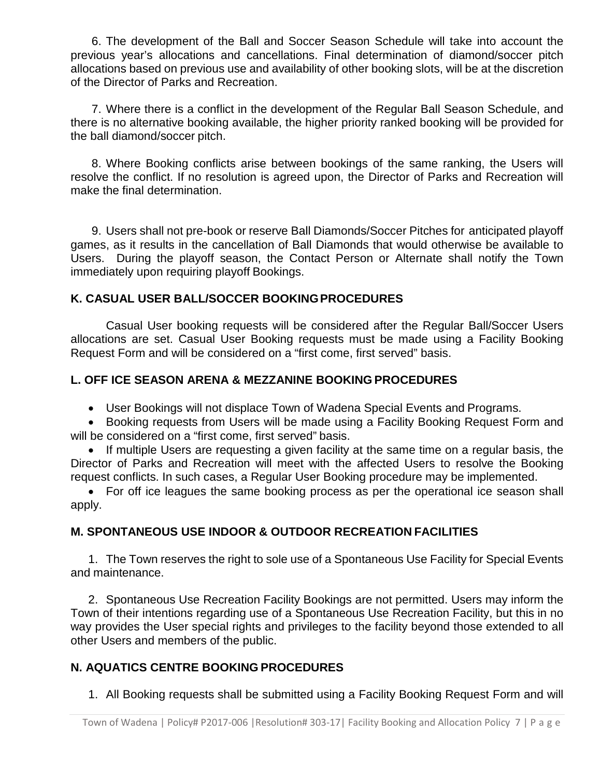6. The development of the Ball and Soccer Season Schedule will take into account the previous year's allocations and cancellations. Final determination of diamond/soccer pitch allocations based on previous use and availability of other booking slots, will be at the discretion of the Director of Parks and Recreation.

7. Where there is a conflict in the development of the Regular Ball Season Schedule, and there is no alternative booking available, the higher priority ranked booking will be provided for the ball diamond/soccer pitch.

8. Where Booking conflicts arise between bookings of the same ranking, the Users will resolve the conflict. If no resolution is agreed upon, the Director of Parks and Recreation will make the final determination.

9. Users shall not pre-book or reserve Ball Diamonds/Soccer Pitches for anticipated playoff games, as it results in the cancellation of Ball Diamonds that would otherwise be available to Users. During the playoff season, the Contact Person or Alternate shall notify the Town immediately upon requiring playoff Bookings.

# **K. CASUAL USER BALL/SOCCER BOOKINGPROCEDURES**

Casual User booking requests will be considered after the Regular Ball/Soccer Users allocations are set. Casual User Booking requests must be made using a Facility Booking Request Form and will be considered on a "first come, first served" basis.

# **L. OFF ICE SEASON ARENA & MEZZANINE BOOKING PROCEDURES**

• User Bookings will not displace Town of Wadena Special Events and Programs.

• Booking requests from Users will be made using a Facility Booking Request Form and will be considered on a "first come, first served" basis.

• If multiple Users are requesting a given facility at the same time on a regular basis, the Director of Parks and Recreation will meet with the affected Users to resolve the Booking request conflicts. In such cases, a Regular User Booking procedure may be implemented.

• For off ice leagues the same booking process as per the operational ice season shall apply.

# **M. SPONTANEOUS USE INDOOR & OUTDOOR RECREATION FACILITIES**

1. The Town reserves the right to sole use of a Spontaneous Use Facility for Special Events and maintenance.

2. Spontaneous Use Recreation Facility Bookings are not permitted. Users may inform the Town of their intentions regarding use of a Spontaneous Use Recreation Facility, but this in no way provides the User special rights and privileges to the facility beyond those extended to all other Users and members of the public.

# **N. AQUATICS CENTRE BOOKING PROCEDURES**

1. All Booking requests shall be submitted using a Facility Booking Request Form and will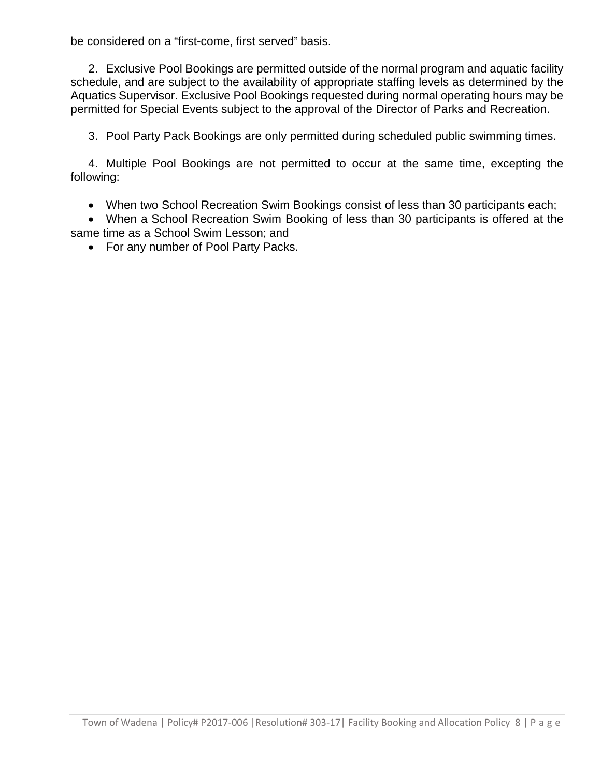be considered on a "first-come, first served" basis.

2. Exclusive Pool Bookings are permitted outside of the normal program and aquatic facility schedule, and are subject to the availability of appropriate staffing levels as determined by the Aquatics Supervisor. Exclusive Pool Bookings requested during normal operating hours may be permitted for Special Events subject to the approval of the Director of Parks and Recreation.

3. Pool Party Pack Bookings are only permitted during scheduled public swimming times.

4. Multiple Pool Bookings are not permitted to occur at the same time, excepting the following:

• When two School Recreation Swim Bookings consist of less than 30 participants each;

• When a School Recreation Swim Booking of less than 30 participants is offered at the same time as a School Swim Lesson; and

• For any number of Pool Party Packs.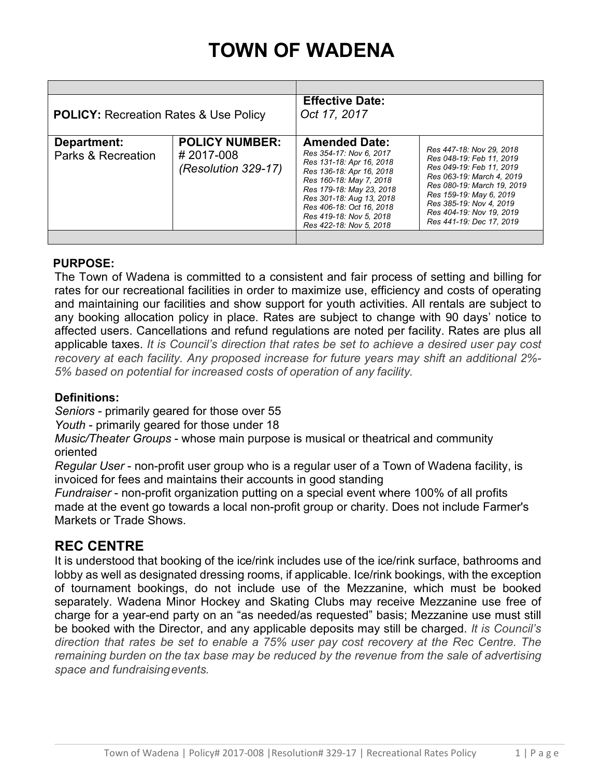# **TOWN OF WADENA**

| <b>POLICY: Recreation Rates &amp; Use Policy</b> |                                                           | <b>Effective Date:</b><br>Oct 17, 2017                                                                                                                                                                                                                                       |                                                                                                                                                                                                                                                           |
|--------------------------------------------------|-----------------------------------------------------------|------------------------------------------------------------------------------------------------------------------------------------------------------------------------------------------------------------------------------------------------------------------------------|-----------------------------------------------------------------------------------------------------------------------------------------------------------------------------------------------------------------------------------------------------------|
| Department:<br>Parks & Recreation                | <b>POLICY NUMBER:</b><br>#2017-008<br>(Resolution 329-17) | <b>Amended Date:</b><br>Res 354-17: Nov 6, 2017<br>Res 131-18: Apr 16, 2018<br>Res 136-18: Apr 16, 2018<br>Res 160-18: May 7, 2018<br>Res 179-18: May 23, 2018<br>Res 301-18: Aug 13, 2018<br>Res 406-18: Oct 16, 2018<br>Res 419-18: Nov 5, 2018<br>Res 422-18: Nov 5, 2018 | Res 447-18: Nov 29, 2018<br>Res 048-19: Feb 11, 2019<br>Res 049-19: Feb 11, 2019<br>Res 063-19: March 4, 2019<br>Res 080-19: March 19, 2019<br>Res 159-19: May 6, 2019<br>Res 385-19: Nov 4, 2019<br>Res 404-19: Nov 19, 2019<br>Res 441-19: Dec 17, 2019 |
|                                                  |                                                           |                                                                                                                                                                                                                                                                              |                                                                                                                                                                                                                                                           |

# **PURPOSE:**

The Town of Wadena is committed to a consistent and fair process of setting and billing for rates for our recreational facilities in order to maximize use, efficiency and costs of operating and maintaining our facilities and show support for youth activities. All rentals are subject to any booking allocation policy in place. Rates are subject to change with 90 days' notice to affected users. Cancellations and refund regulations are noted per facility. Rates are plus all applicable taxes. *It is Council's direction that rates be set to achieve a desired user pay cost recovery at each facility. Any proposed increase for future years may shift an additional 2%- 5% based on potential for increased costs of operation of any facility.*

# **Definitions:**

*Seniors* - primarily geared for those over 55

*Youth* - primarily geared for those under 18

*Music/Theater Groups* - whose main purpose is musical or theatrical and community oriented

*Regular User* - non-profit user group who is a regular user of a Town of Wadena facility, is invoiced for fees and maintains their accounts in good standing

*Fundraiser* - non-profit organization putting on a special event where 100% of all profits made at the event go towards a local non-profit group or charity. Does not include Farmer's Markets or Trade Shows.

# **REC CENTRE**

It is understood that booking of the ice/rink includes use of the ice/rink surface, bathrooms and lobby as well as designated dressing rooms, if applicable. Ice/rink bookings, with the exception of tournament bookings, do not include use of the Mezzanine, which must be booked separately. Wadena Minor Hockey and Skating Clubs may receive Mezzanine use free of charge for a year-end party on an "as needed/as requested" basis; Mezzanine use must still be booked with the Director, and any applicable deposits may still be charged. *It is Council's direction that rates be set to enable a 75% user pay cost recovery at the Rec Centre. The remaining burden on the tax base may be reduced by the revenue from the sale of advertising space and fundraisingevents.*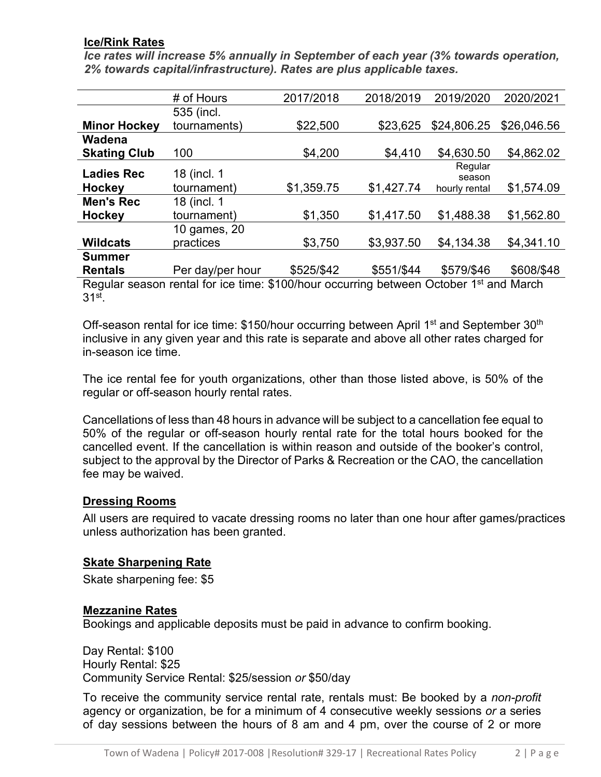# **Ice/Rink Rates**

*Ice rates will increase 5% annually in September of each year (3% towards operation, 2% towards capital/infrastructure). Rates are plus applicable taxes.*

|                                                                                      | # of Hours       | 2017/2018  | 2018/2019  | 2019/2020         | 2020/2021   |
|--------------------------------------------------------------------------------------|------------------|------------|------------|-------------------|-------------|
|                                                                                      | 535 (incl.       |            |            |                   |             |
| <b>Minor Hockey</b>                                                                  | tournaments)     | \$22,500   | \$23,625   | \$24,806.25       | \$26,046.56 |
| Wadena                                                                               |                  |            |            |                   |             |
| <b>Skating Club</b>                                                                  | 100              | \$4,200    | \$4,410    | \$4,630.50        | \$4,862.02  |
| <b>Ladies Rec</b>                                                                    | 18 (incl. 1      |            |            | Regular<br>season |             |
| <b>Hockey</b>                                                                        | tournament)      | \$1,359.75 | \$1,427.74 | hourly rental     | \$1,574.09  |
| <b>Men's Rec</b>                                                                     | 18 (incl. 1      |            |            |                   |             |
| <b>Hockey</b>                                                                        | tournament)      | \$1,350    | \$1,417.50 | \$1,488.38        | \$1,562.80  |
|                                                                                      | 10 games, 20     |            |            |                   |             |
| <b>Wildcats</b>                                                                      | practices        | \$3,750    | \$3,937.50 | \$4,134.38        | \$4,341.10  |
| Summer                                                                               |                  |            |            |                   |             |
| <b>Rentals</b>                                                                       | Per day/per hour | \$525/\$42 | \$551/\$44 | \$579/\$46        | \$608/\$48  |
| Boqular second rapid for ine time: \$100/hour sequring between October 1st and March |                  |            |            |                   |             |

Regular season rental for ice time: \$100/hour occurring between October 1<sup>st</sup> and March 31st.

Off-season rental for ice time: \$150/hour occurring between April 1<sup>st</sup> and September 30<sup>th</sup> inclusive in any given year and this rate is separate and above all other rates charged for in-season ice time.

The ice rental fee for youth organizations, other than those listed above, is 50% of the regular or off-season hourly rental rates.

Cancellations of less than 48 hours in advance will be subject to a cancellation fee equal to 50% of the regular or off-season hourly rental rate for the total hours booked for the cancelled event. If the cancellation is within reason and outside of the booker's control, subject to the approval by the Director of Parks & Recreation or the CAO, the cancellation fee may be waived.

# **Dressing Rooms**

All users are required to vacate dressing rooms no later than one hour after games/practices unless authorization has been granted.

# **Skate Sharpening Rate**

Skate sharpening fee: \$5

# **Mezzanine Rates**

Bookings and applicable deposits must be paid in advance to confirm booking.

Day Rental: \$100 Hourly Rental: \$25 Community Service Rental: \$25/session *or* \$50/day

To receive the community service rental rate, rentals must: Be booked by a *non-profit*  agency or organization, be for a minimum of 4 consecutive weekly sessions *or* a series of day sessions between the hours of 8 am and 4 pm, over the course of 2 or more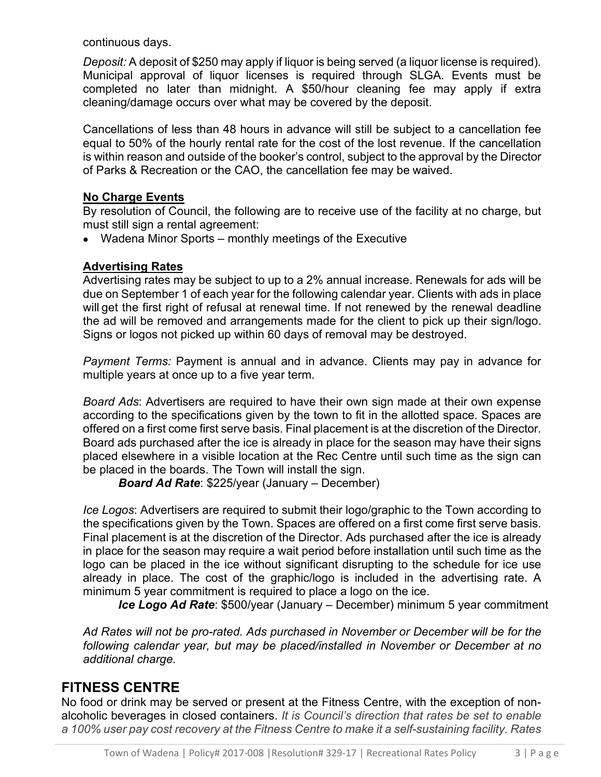continuous days.

*Deposit:* A deposit of \$250 may apply if liquor is being served (a liquor license is required). Municipal approval of liquor licenses is required through SLGA. Events must be completed no later than midnight. A \$50/hour cleaning fee may apply if extra cleaning/damage occurs over what may be covered by the deposit.

Cancellations of less than 48 hours in advance will still be subject to a cancellation fee equal to 50% of the hourly rental rate for the cost of the lost revenue. If the cancellation is within reason and outside of the booker's control, subject to the approval by the Director of Parks & Recreation or the CAO, the cancellation fee may be waived.

# **No Charge Events**

By resolution of Council, the following are to receive use of the facility at no charge, but must still sign a rental agreement:

• Wadena Minor Sports – monthly meetings of the Executive

# **Advertising Rates**

Advertising rates may be subject to up to a 2% annual increase. Renewals for ads will be due on September 1 of each year for the following calendar year. Clients with ads in place will get the first right of refusal at renewal time. If not renewed by the renewal deadline the ad will be removed and arrangements made for the client to pick up their sign/logo. Signs or logos not picked up within 60 days of removal may be destroyed.

*Payment Terms:* Payment is annual and in advance. Clients may pay in advance for multiple years at once up to a five year term.

*Board Ads*: Advertisers are required to have their own sign made at their own expense according to the specifications given by the town to fit in the allotted space. Spaces are offered on a first come first serve basis. Final placement is at the discretion of the Director. Board ads purchased after the ice is already in place for the season may have their signs placed elsewhere in a visible location at the Rec Centre until such time as the sign can be placed in the boards. The Town will install the sign.

*Board Ad Rate*: \$225/year (January – December)

*Ice Logos*: Advertisers are required to submit their logo/graphic to the Town according to the specifications given by the Town. Spaces are offered on a first come first serve basis. Final placement is at the discretion of the Director. Ads purchased after the ice is already in place for the season may require a wait period before installation until such time as the logo can be placed in the ice without significant disrupting to the schedule for ice use already in place. The cost of the graphic/logo is included in the advertising rate. A minimum 5 year commitment is required to place a logo on the ice.

*Ice Logo Ad Rate*: \$500/year (January – December) minimum 5 year commitment

*Ad Rates will not be pro-rated. Ads purchased in November or December will be for the following calendar year, but may be placed/installed in November or December at no additional charge.*

# **FITNESS CENTRE**

No food or drink may be served or present at the Fitness Centre, with the exception of nonalcoholic beverages in closed containers. *It is Council's direction that rates be set to enable a 100% user pay cost recovery at the Fitness Centre to make it a self-sustaining facility. Rates*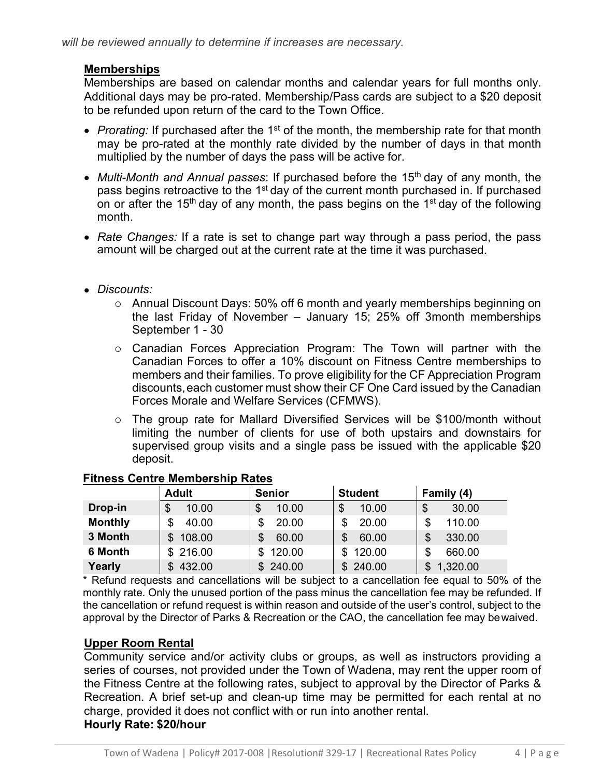# **Memberships**

Memberships are based on calendar months and calendar years for full months only. Additional days may be pro-rated. Membership/Pass cards are subject to a \$20 deposit to be refunded upon return of the card to the Town Office.

- *Prorating:* If purchased after the 1<sup>st</sup> of the month, the membership rate for that month may be pro-rated at the monthly rate divided by the number of days in that month multiplied by the number of days the pass will be active for.
- *Multi-Month and Annual passes*: If purchased before the 15<sup>th</sup> day of any month, the pass begins retroactive to the 1<sup>st</sup> day of the current month purchased in. If purchased on or after the 15<sup>th</sup> day of any month, the pass begins on the 1<sup>st</sup> day of the following month.
- *Rate Changes:* If a rate is set to change part way through a pass period, the pass amount will be charged out at the current rate at the time it was purchased.
- *Discounts:*
	- o Annual Discount Days: 50% off 6 month and yearly memberships beginning on the last Friday of November – January 15; 25% off 3month memberships September 1 - 30
	- o Canadian Forces Appreciation Program: The Town will partner with the Canadian Forces to offer a 10% discount on Fitness Centre memberships to members and their families. To prove eligibility for the CF Appreciation Program discounts,each customer must show their CF One Card issued by the Canadian Forces Morale and Welfare Services (CFMWS).
	- o The group rate for Mallard Diversified Services will be \$100/month without limiting the number of clients for use of both upstairs and downstairs for supervised group visits and a single pass be issued with the applicable \$20 deposit.

|                | <b>Adult</b>  | <b>Senior</b> | <b>Student</b> | Family (4)     |
|----------------|---------------|---------------|----------------|----------------|
| Drop-in        | \$<br>10.00   | 10.00         | \$<br>10.00    | \$<br>30.00    |
| <b>Monthly</b> | \$<br>40.00   | 20.00         | 20.00<br>\$    | 110.00<br>\$   |
| 3 Month        | 108.00<br>\$  | 60.00         | \$<br>60.00    | 330.00<br>\$   |
| 6 Month        | \$216.00      | 120.00<br>\$. | 120.00<br>\$   | \$<br>660.00   |
| Yearly         | 432.00<br>\$. | \$240.00      | \$240.00       | 1,320.00<br>\$ |

# **Fitness Centre Membership Rates**

\* Refund requests and cancellations will be subject to a cancellation fee equal to 50% of the monthly rate. Only the unused portion of the pass minus the cancellation fee may be refunded. If the cancellation or refund request is within reason and outside of the user's control, subject to the approval by the Director of Parks & Recreation or the CAO, the cancellation fee may bewaived.

# **Upper Room Rental**

Community service and/or activity clubs or groups, as well as instructors providing a series of courses, not provided under the Town of Wadena, may rent the upper room of the Fitness Centre at the following rates, subject to approval by the Director of Parks & Recreation. A brief set-up and clean-up time may be permitted for each rental at no charge, provided it does not conflict with or run into another rental. **Hourly Rate: \$20/hour**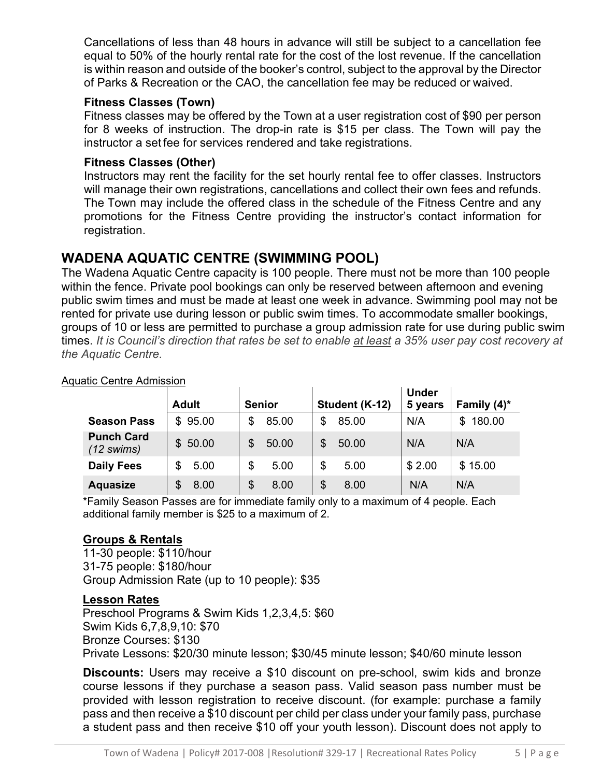Cancellations of less than 48 hours in advance will still be subject to a cancellation fee equal to 50% of the hourly rental rate for the cost of the lost revenue. If the cancellation is within reason and outside of the booker's control, subject to the approval by the Director of Parks & Recreation or the CAO, the cancellation fee may be reduced or waived.

# **Fitness Classes (Town)**

Fitness classes may be offered by the Town at a user registration cost of \$90 per person for 8 weeks of instruction. The drop-in rate is \$15 per class. The Town will pay the instructor a set fee for services rendered and take registrations.

# **Fitness Classes (Other)**

Instructors may rent the facility for the set hourly rental fee to offer classes. Instructors will manage their own registrations, cancellations and collect their own fees and refunds. The Town may include the offered class in the schedule of the Fitness Centre and any promotions for the Fitness Centre providing the instructor's contact information for registration.

# **WADENA AQUATIC CENTRE (SWIMMING POOL)**

The Wadena Aquatic Centre capacity is 100 people. There must not be more than 100 people within the fence. Private pool bookings can only be reserved between afternoon and evening public swim times and must be made at least one week in advance. Swimming pool may not be rented for private use during lesson or public swim times. To accommodate smaller bookings, groups of 10 or less are permitted to purchase a group admission rate for use during public swim times. *It is Council's direction that rates be set to enable at least a 35% user pay cost recovery at the Aquatic Centre.* 

|                                           | <b>Adult</b> | <b>Senior</b> | Student (K-12) | <b>Under</b><br>5 years | Family $(4)^*$ |
|-------------------------------------------|--------------|---------------|----------------|-------------------------|----------------|
| <b>Season Pass</b>                        | \$95.00      | 85.00<br>\$   | 85.00          | N/A                     | 180.00<br>\$.  |
| <b>Punch Card</b><br>$(12 \text{ swims})$ | \$50.00      | 50.00<br>\$   | 50.00          | N/A                     | N/A            |
| <b>Daily Fees</b>                         | 5.00<br>\$   | \$<br>5.00    | \$<br>5.00     | \$2.00                  | \$15.00        |
| <b>Aquasize</b>                           | 8.00<br>S    | \$<br>8.00    | 8.00<br>\$     | N/A                     | N/A            |

## Aquatic Centre Admission

\*Family Season Passes are for immediate family only to a maximum of 4 people. Each additional family member is \$25 to a maximum of 2.

# **Groups & Rentals**

11-30 people: \$110/hour 31-75 people: \$180/hour Group Admission Rate (up to 10 people): \$35

# **Lesson Rates**

Preschool Programs & Swim Kids 1,2,3,4,5: \$60 Swim Kids 6,7,8,9,10: \$70 Bronze Courses: \$130 Private Lessons: \$20/30 minute lesson; \$30/45 minute lesson; \$40/60 minute lesson

**Discounts:** Users may receive a \$10 discount on pre-school, swim kids and bronze course lessons if they purchase a season pass. Valid season pass number must be provided with lesson registration to receive discount. (for example: purchase a family pass and then receive a \$10 discount per child per class under your family pass, purchase a student pass and then receive \$10 off your youth lesson). Discount does not apply to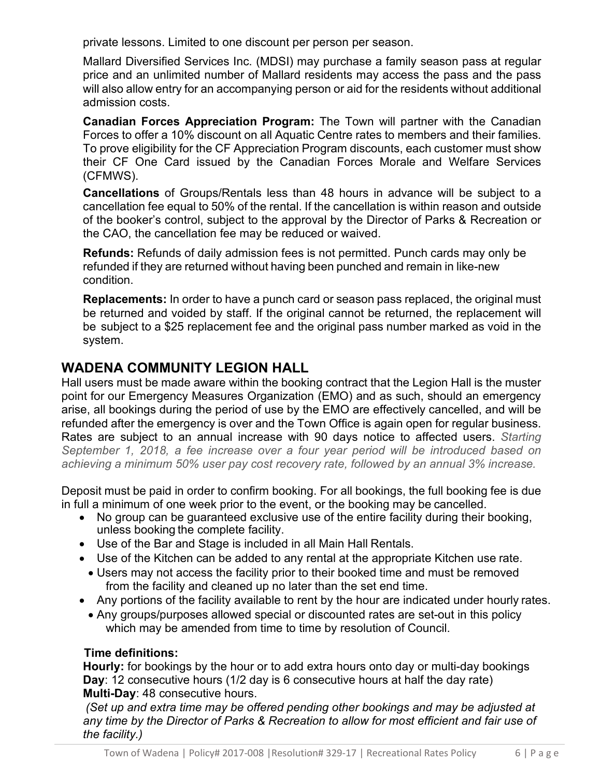private lessons. Limited to one discount per person per season.

Mallard Diversified Services Inc. (MDSI) may purchase a family season pass at regular price and an unlimited number of Mallard residents may access the pass and the pass will also allow entry for an accompanying person or aid for the residents without additional admission costs.

**Canadian Forces Appreciation Program:** The Town will partner with the Canadian Forces to offer a 10% discount on all Aquatic Centre rates to members and their families. To prove eligibility for the CF Appreciation Program discounts, each customer must show their CF One Card issued by the Canadian Forces Morale and Welfare Services (CFMWS).

**Cancellations** of Groups/Rentals less than 48 hours in advance will be subject to a cancellation fee equal to 50% of the rental. If the cancellation is within reason and outside of the booker's control, subject to the approval by the Director of Parks & Recreation or the CAO, the cancellation fee may be reduced or waived.

**Refunds:** Refunds of daily admission fees is not permitted. Punch cards may only be refunded if they are returned without having been punched and remain in like-new condition.

**Replacements:** In order to have a punch card or season pass replaced, the original must be returned and voided by staff. If the original cannot be returned, the replacement will be subject to a \$25 replacement fee and the original pass number marked as void in the system.

# **WADENA COMMUNITY LEGION HALL**

Hall users must be made aware within the booking contract that the Legion Hall is the muster point for our Emergency Measures Organization (EMO) and as such, should an emergency arise, all bookings during the period of use by the EMO are effectively cancelled, and will be refunded after the emergency is over and the Town Office is again open for regular business. Rates are subject to an annual increase with 90 days notice to affected users. *Starting September 1, 2018, a fee increase over a four year period will be introduced based on achieving a minimum 50% user pay cost recovery rate, followed by an annual 3% increase.*

Deposit must be paid in order to confirm booking. For all bookings, the full booking fee is due in full a minimum of one week prior to the event, or the booking may be cancelled.

- No group can be guaranteed exclusive use of the entire facility during their booking, unless booking the complete facility.
- Use of the Bar and Stage is included in all Main Hall Rentals.
- Use of the Kitchen can be added to any rental at the appropriate Kitchen use rate.
- Users may not access the facility prior to their booked time and must be removed from the facility and cleaned up no later than the set end time.
- Any portions of the facility available to rent by the hour are indicated under hourly rates.
	- Any groups/purposes allowed special or discounted rates are set-out in this policy which may be amended from time to time by resolution of Council.

# **Time definitions:**

**Hourly:** for bookings by the hour or to add extra hours onto day or multi-day bookings **Day**: 12 consecutive hours (1/2 day is 6 consecutive hours at half the day rate) **Multi-Day**: 48 consecutive hours.

*(Set up and extra time may be offered pending other bookings and may be adjusted at any time by the Director of Parks & Recreation to allow for most efficient and fair use of the facility.)*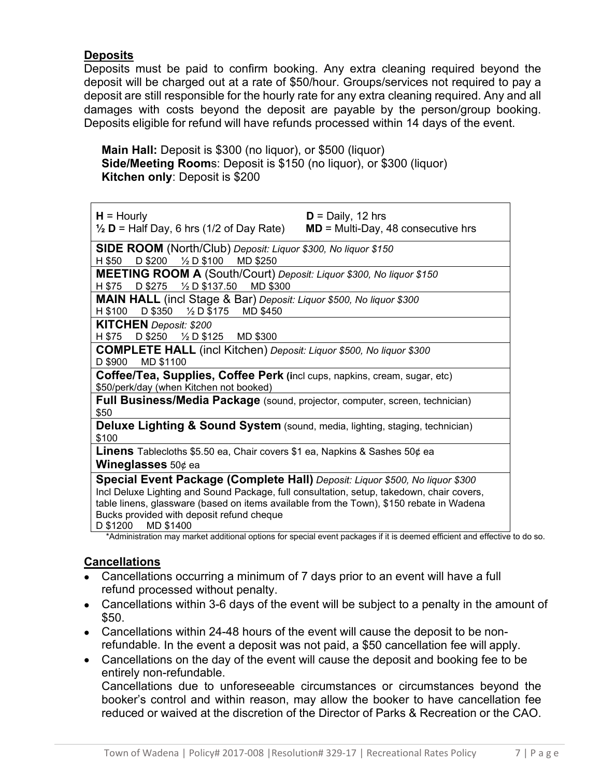# **Deposits**

Deposits must be paid to confirm booking. Any extra cleaning required beyond the deposit will be charged out at a rate of \$50/hour. Groups/services not required to pay a deposit are still responsible for the hourly rate for any extra cleaning required. Any and all damages with costs beyond the deposit are payable by the person/group booking. Deposits eligible for refund will have refunds processed within 14 days of the event.

**Main Hall:** Deposit is \$300 (no liquor), or \$500 (liquor) **Side/Meeting Room**s: Deposit is \$150 (no liquor), or \$300 (liquor) **Kitchen only**: Deposit is \$200

| $H =$ Hourly<br>$\frac{1}{2}$ <b>D</b> = Half Day, 6 hrs (1/2 of Day Rate)                                                                                                                                                                                                                                                                  | $D =$ Daily, 12 hrs<br>$MD = Multi-Day, 48 consecutive hrs$ |
|---------------------------------------------------------------------------------------------------------------------------------------------------------------------------------------------------------------------------------------------------------------------------------------------------------------------------------------------|-------------------------------------------------------------|
| SIDE ROOM (North/Club) Deposit: Liquor \$300, No liquor \$150<br>D \$200 $\frac{1}{2}$ D \$100<br>H \$50<br><b>MD \$250</b>                                                                                                                                                                                                                 |                                                             |
| MEETING ROOM A (South/Court) Deposit: Liquor \$300, No liquor \$150<br>D \$275 $\frac{1}{2}$ D \$137.50 MD \$300<br>H \$75                                                                                                                                                                                                                  |                                                             |
| MAIN HALL (incl Stage & Bar) Deposit: Liquor \$500, No liquor \$300<br>H \$100 D \$350 1/2 D \$175 MD \$450                                                                                                                                                                                                                                 |                                                             |
| <b>KITCHEN</b> Deposit: \$200<br>D \$250 $\frac{1}{2}$ D \$125 MD \$300<br>H \$75                                                                                                                                                                                                                                                           |                                                             |
| <b>COMPLETE HALL</b> (incl Kitchen) Deposit: Liquor \$500, No liquor \$300<br>MD \$1100<br>D \$900                                                                                                                                                                                                                                          |                                                             |
| Coffee/Tea, Supplies, Coffee Perk (incl cups, napkins, cream, sugar, etc)<br>\$50/perk/day (when Kitchen not booked)                                                                                                                                                                                                                        |                                                             |
| Full Business/Media Package (sound, projector, computer, screen, technician)<br>\$50                                                                                                                                                                                                                                                        |                                                             |
| <b>Deluxe Lighting &amp; Sound System</b> (sound, media, lighting, staging, technician)<br>\$100                                                                                                                                                                                                                                            |                                                             |
| <b>Linens</b> Tablecloths \$5.50 ea, Chair covers \$1 ea, Napkins & Sashes 50¢ ea<br><b>Wineglasses</b> $50¢$ ea                                                                                                                                                                                                                            |                                                             |
| Special Event Package (Complete Hall) Deposit: Liquor \$500, No liquor \$300<br>Incl Deluxe Lighting and Sound Package, full consultation, setup, takedown, chair covers,<br>table linens, glassware (based on items available from the Town), \$150 rebate in Wadena<br>Bucks provided with deposit refund cheque<br>D \$1200<br>MD \$1400 |                                                             |

\*Administration may market additional options for special event packages if it is deemed efficient and effective to do so.

# **Cancellations**

- Cancellations occurring a minimum of 7 days prior to an event will have a full refund processed without penalty.
- Cancellations within 3-6 days of the event will be subject to a penalty in the amount of \$50.
- Cancellations within 24-48 hours of the event will cause the deposit to be nonrefundable. In the event a deposit was not paid, a \$50 cancellation fee will apply.
- Cancellations on the day of the event will cause the deposit and booking fee to be entirely non-refundable. Cancellations due to unforeseeable circumstances or circumstances beyond the booker's control and within reason, may allow the booker to have cancellation fee

reduced or waived at the discretion of the Director of Parks & Recreation or the CAO.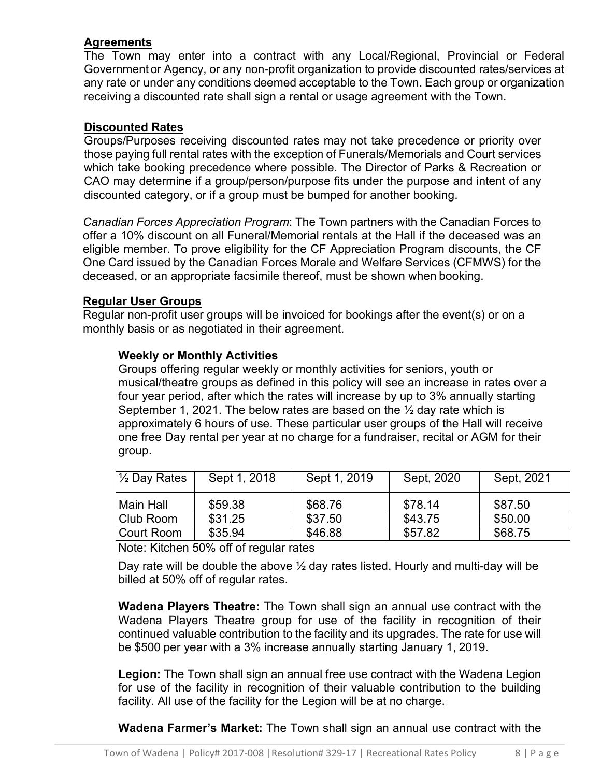# **Agreements**

The Town may enter into a contract with any Local/Regional, Provincial or Federal Government or Agency, or any non-profit organization to provide discounted rates/services at any rate or under any conditions deemed acceptable to the Town. Each group or organization receiving a discounted rate shall sign a rental or usage agreement with the Town.

# **Discounted Rates**

Groups/Purposes receiving discounted rates may not take precedence or priority over those paying full rental rates with the exception of Funerals/Memorials and Court services which take booking precedence where possible. The Director of Parks & Recreation or CAO may determine if a group/person/purpose fits under the purpose and intent of any discounted category, or if a group must be bumped for another booking.

*Canadian Forces Appreciation Program*: The Town partners with the Canadian Forces to offer a 10% discount on all Funeral/Memorial rentals at the Hall if the deceased was an eligible member. To prove eligibility for the CF Appreciation Program discounts, the CF One Card issued by the Canadian Forces Morale and Welfare Services (CFMWS) for the deceased, or an appropriate facsimile thereof, must be shown when booking.

# **Regular User Groups**

Regular non-profit user groups will be invoiced for bookings after the event(s) or on a monthly basis or as negotiated in their agreement.

# **Weekly or Monthly Activities**

Groups offering regular weekly or monthly activities for seniors, youth or musical/theatre groups as defined in this policy will see an increase in rates over a four year period, after which the rates will increase by up to 3% annually starting September 1, 2021. The below rates are based on the  $\frac{1}{2}$  day rate which is approximately 6 hours of use. These particular user groups of the Hall will receive one free Day rental per year at no charge for a fundraiser, recital or AGM for their group.

| $\frac{1}{2}$ Day Rates | Sept 1, 2018 | Sept 1, 2019 | Sept, 2020 | Sept, 2021 |
|-------------------------|--------------|--------------|------------|------------|
| Main Hall               | \$59.38      | \$68.76      | \$78.14    | \$87.50    |
| Club Room               | \$31.25      | \$37.50      | \$43.75    | \$50.00    |
| Court Room              | \$35.94      | \$46.88      | \$57.82    | \$68.75    |

Note: Kitchen 50% off of regular rates

Day rate will be double the above  $\frac{1}{2}$  day rates listed. Hourly and multi-day will be billed at 50% off of regular rates.

**Wadena Players Theatre:** The Town shall sign an annual use contract with the Wadena Players Theatre group for use of the facility in recognition of their continued valuable contribution to the facility and its upgrades. The rate for use will be \$500 per year with a 3% increase annually starting January 1, 2019.

**Legion:** The Town shall sign an annual free use contract with the Wadena Legion for use of the facility in recognition of their valuable contribution to the building facility. All use of the facility for the Legion will be at no charge.

**Wadena Farmer's Market:** The Town shall sign an annual use contract with the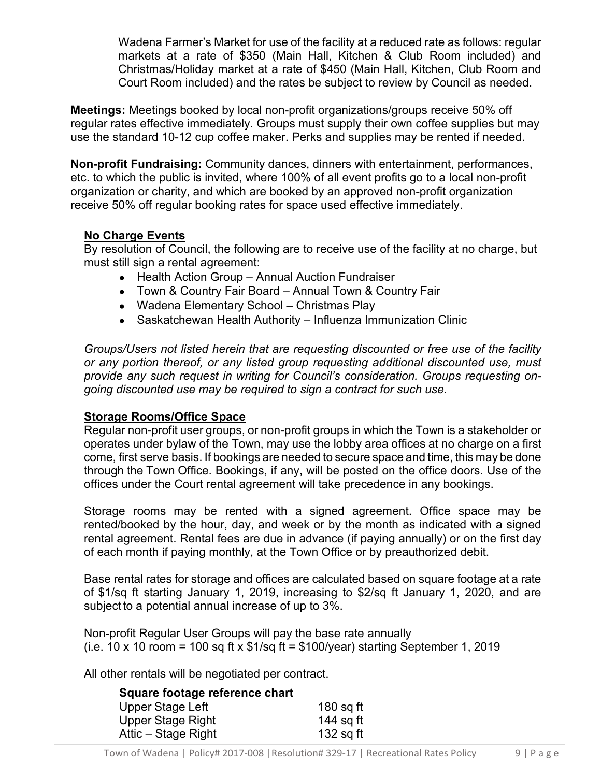Wadena Farmer's Market for use of the facility at a reduced rate as follows: regular markets at a rate of \$350 (Main Hall, Kitchen & Club Room included) and Christmas/Holiday market at a rate of \$450 (Main Hall, Kitchen, Club Room and Court Room included) and the rates be subject to review by Council as needed.

**Meetings:** Meetings booked by local non-profit organizations/groups receive 50% off regular rates effective immediately. Groups must supply their own coffee supplies but may use the standard 10-12 cup coffee maker. Perks and supplies may be rented if needed.

**Non-profit Fundraising:** Community dances, dinners with entertainment, performances, etc. to which the public is invited, where 100% of all event profits go to a local non-profit organization or charity, and which are booked by an approved non-profit organization receive 50% off regular booking rates for space used effective immediately.

# **No Charge Events**

By resolution of Council, the following are to receive use of the facility at no charge, but must still sign a rental agreement:

- Health Action Group Annual Auction Fundraiser
- Town & Country Fair Board Annual Town & Country Fair
- Wadena Elementary School Christmas Play
- Saskatchewan Health Authority Influenza Immunization Clinic

*Groups/Users not listed herein that are requesting discounted or free use of the facility or any portion thereof, or any listed group requesting additional discounted use, must provide any such request in writing for Council's consideration. Groups requesting ongoing discounted use may be required to sign a contract for such use.*

# **Storage Rooms/Office Space**

Regular non-profit user groups, or non-profit groups in which the Town is a stakeholder or operates under bylaw of the Town, may use the lobby area offices at no charge on a first come, first serve basis. If bookings are needed to secure space and time, this may be done through the Town Office. Bookings, if any, will be posted on the office doors. Use of the offices under the Court rental agreement will take precedence in any bookings.

Storage rooms may be rented with a signed agreement. Office space may be rented/booked by the hour, day, and week or by the month as indicated with a signed rental agreement. Rental fees are due in advance (if paying annually) or on the first day of each month if paying monthly, at the Town Office or by preauthorized debit.

Base rental rates for storage and offices are calculated based on square footage at a rate of \$1/sq ft starting January 1, 2019, increasing to \$2/sq ft January 1, 2020, and are subject to a potential annual increase of up to 3%.

Non-profit Regular User Groups will pay the base rate annually (i.e. 10 x 10 room = 100 sq ft x  $$1$ /sq ft =  $$100$ /year) starting September 1, 2019

All other rentals will be negotiated per contract.

| Square footage reference chart |             |
|--------------------------------|-------------|
| Upper Stage Left               | $180$ sq ft |
| Upper Stage Right              | 144 sq ft   |
| Attic – Stage Right            | 132 sq ft   |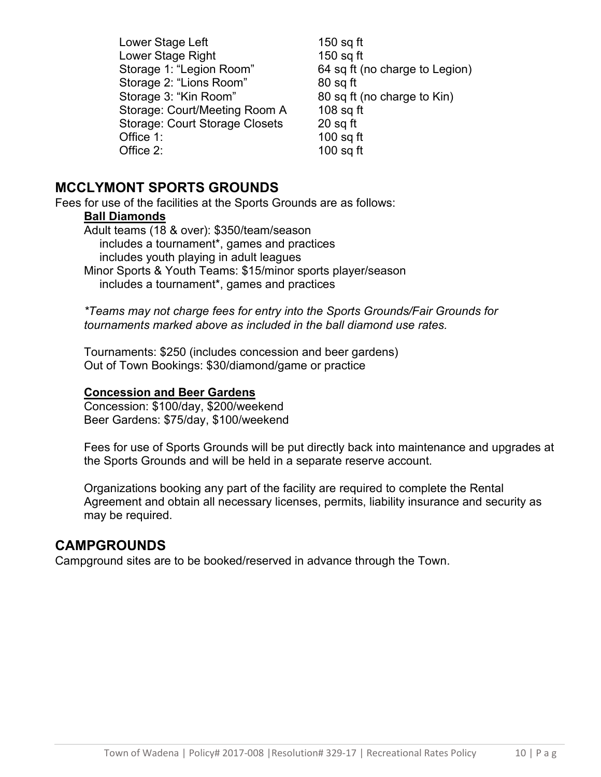Lower Stage Left 150 sq ft Lower Stage Right 150 sq ft Storage 1: "Legion Room" 64 sq ft (no charge to Legion) Storage 2: "Lions Room" 80 sq ft Storage 3: "Kin Room" 80 sq ft (no charge to Kin) Storage: Court/Meeting Room A 108 sq ft Storage: Court Storage Closets 20 sq ft Office 1: 100 sq ft Office 2: 100 sq ft

# **MCCLYMONT SPORTS GROUNDS**

Fees for use of the facilities at the Sports Grounds are as follows:

# **Ball Diamonds**

Adult teams (18 & over): \$350/team/season includes a tournament\*, games and practices includes youth playing in adult leagues Minor Sports & Youth Teams: \$15/minor sports player/season includes a tournament\*, games and practices

*\*Teams may not charge fees for entry into the Sports Grounds/Fair Grounds for tournaments marked above as included in the ball diamond use rates.*

Tournaments: \$250 (includes concession and beer gardens) Out of Town Bookings: \$30/diamond/game or practice

# **Concession and Beer Gardens**

Concession: \$100/day, \$200/weekend Beer Gardens: \$75/day, \$100/weekend

Fees for use of Sports Grounds will be put directly back into maintenance and upgrades at the Sports Grounds and will be held in a separate reserve account.

Organizations booking any part of the facility are required to complete the Rental Agreement and obtain all necessary licenses, permits, liability insurance and security as may be required.

# **CAMPGROUNDS**

Campground sites are to be booked/reserved in advance through the Town.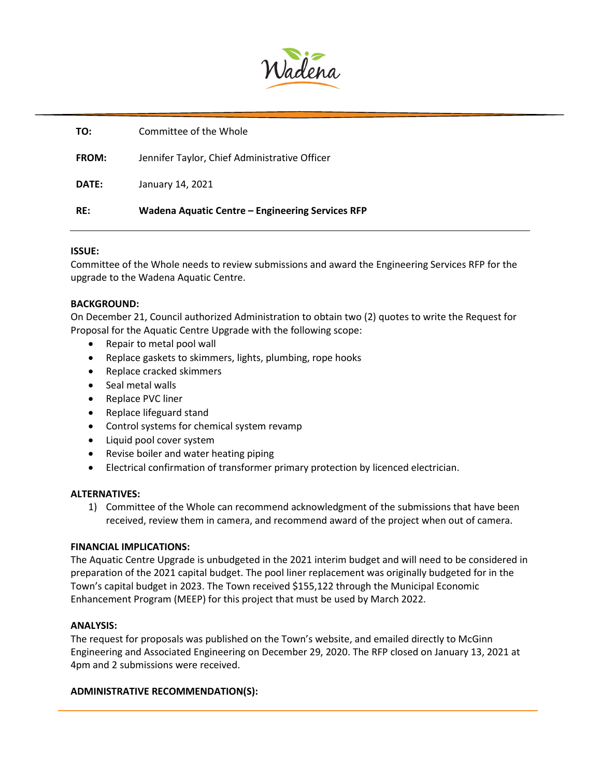

| TO:          | Committee of the Whole                           |
|--------------|--------------------------------------------------|
| <b>FROM:</b> | Jennifer Taylor, Chief Administrative Officer    |
| DATE:        | January 14, 2021                                 |
| RE:          | Wadena Aquatic Centre – Engineering Services RFP |

#### **ISSUE:**

Committee of the Whole needs to review submissions and award the Engineering Services RFP for the upgrade to the Wadena Aquatic Centre.

#### **BACKGROUND:**

On December 21, Council authorized Administration to obtain two (2) quotes to write the Request for Proposal for the Aquatic Centre Upgrade with the following scope:

- Repair to metal pool wall
- Replace gaskets to skimmers, lights, plumbing, rope hooks
- Replace cracked skimmers
- Seal metal walls
- Replace PVC liner
- Replace lifeguard stand
- Control systems for chemical system revamp
- Liquid pool cover system
- Revise boiler and water heating piping
- Electrical confirmation of transformer primary protection by licenced electrician.

#### **ALTERNATIVES:**

1) Committee of the Whole can recommend acknowledgment of the submissions that have been received, review them in camera, and recommend award of the project when out of camera.

#### **FINANCIAL IMPLICATIONS:**

The Aquatic Centre Upgrade is unbudgeted in the 2021 interim budget and will need to be considered in preparation of the 2021 capital budget. The pool liner replacement was originally budgeted for in the Town's capital budget in 2023. The Town received \$155,122 through the Municipal Economic Enhancement Program (MEEP) for this project that must be used by March 2022.

#### **ANALYSIS:**

The request for proposals was published on the Town's website, and emailed directly to McGinn Engineering and Associated Engineering on December 29, 2020. The RFP closed on January 13, 2021 at 4pm and 2 submissions were received.

#### **ADMINISTRATIVE RECOMMENDATION(S):**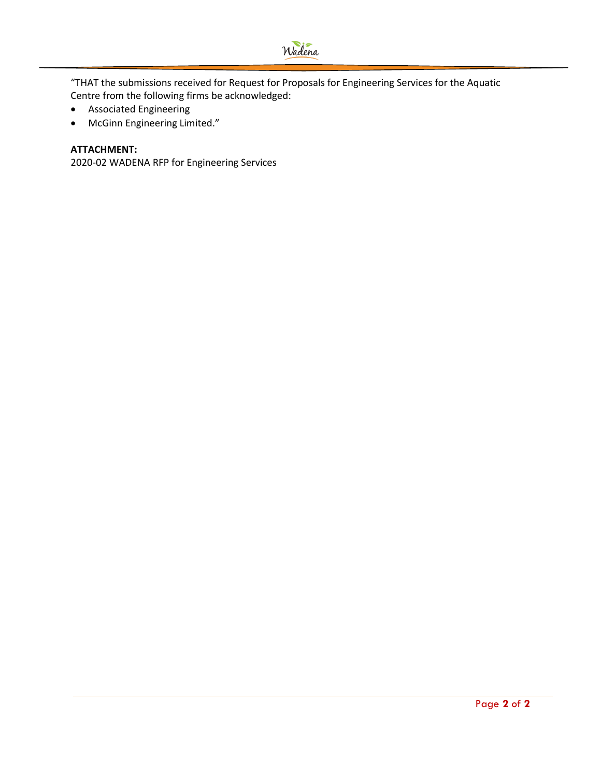

"THAT the submissions received for Request for Proposals for Engineering Services for the Aquatic Centre from the following firms be acknowledged:

- Associated Engineering
- McGinn Engineering Limited."

#### **ATTACHMENT:**

2020-02 WADENA RFP for Engineering Services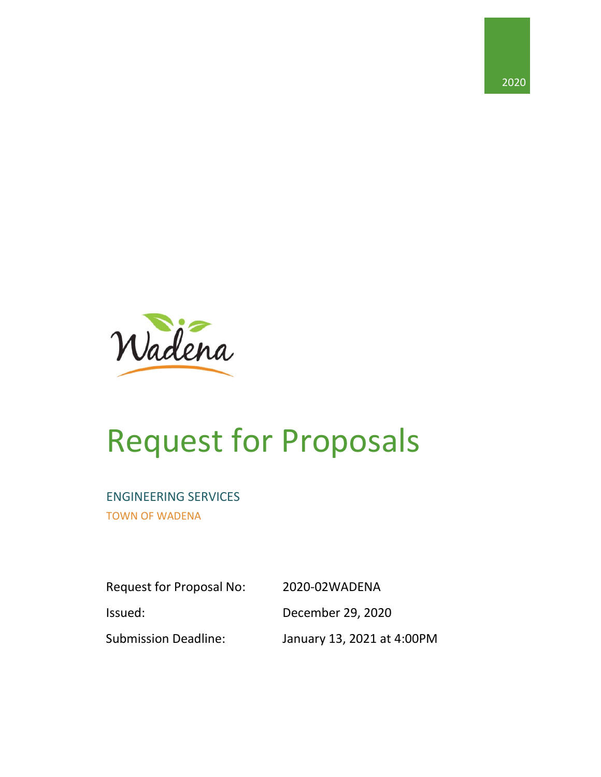



# Request for Proposals

# ENGINEERING SERVICES

TOWN OF WADENA

Request for Proposal No: 2020-02WADENA Issued: December 29, 2020 Submission Deadline: January 13, 2021 at 4:00PM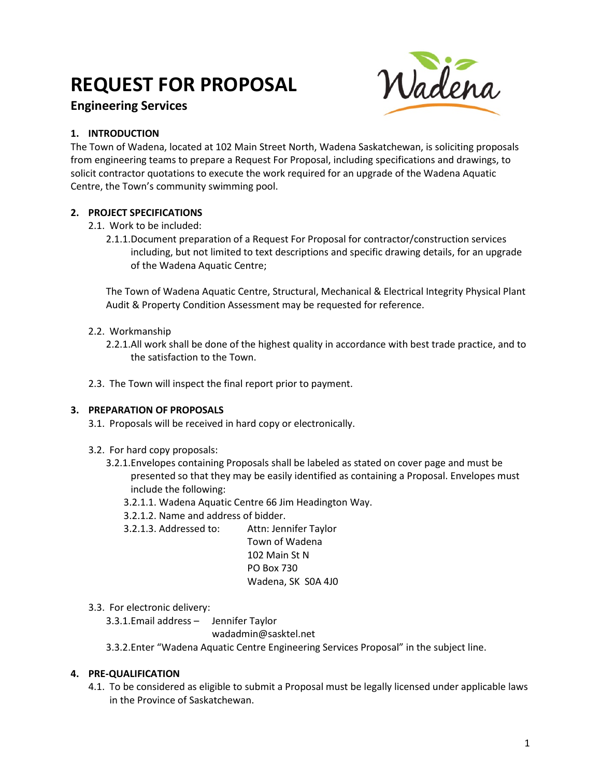# **REQUEST FOR PROPOSAL**

# **Engineering Services**



#### **1. INTRODUCTION**

The Town of Wadena, located at 102 Main Street North, Wadena Saskatchewan, is soliciting proposals from engineering teams to prepare a Request For Proposal, including specifications and drawings, to solicit contractor quotations to execute the work required for an upgrade of the Wadena Aquatic Centre, the Town's community swimming pool.

#### **2. PROJECT SPECIFICATIONS**

2.1. Work to be included:

2.1.1.Document preparation of a Request For Proposal for contractor/construction services including, but not limited to text descriptions and specific drawing details, for an upgrade of the Wadena Aquatic Centre;

The Town of Wadena Aquatic Centre, Structural, Mechanical & Electrical Integrity Physical Plant Audit & Property Condition Assessment may be requested for reference.

#### 2.2. Workmanship

2.2.1.All work shall be done of the highest quality in accordance with best trade practice, and to the satisfaction to the Town.

2.3. The Town will inspect the final report prior to payment.

#### **3. PREPARATION OF PROPOSALS**

- 3.1. Proposals will be received in hard copy or electronically.
- 3.2. For hard copy proposals:
	- 3.2.1.Envelopes containing Proposals shall be labeled as stated on cover page and must be presented so that they may be easily identified as containing a Proposal. Envelopes must include the following:
		- 3.2.1.1. Wadena Aquatic Centre 66 Jim Headington Way.
		- 3.2.1.2. Name and address of bidder.
		- 3.2.1.3. Addressed to: Attn: Jennifer Taylor

Town of Wadena 102 Main St N PO Box 730 Wadena, SK S0A 4J0

- 3.3. For electronic delivery:
	- 3.3.1.Email address Jennifer Taylor

wadadmin@sasktel.net

3.3.2.Enter "Wadena Aquatic Centre Engineering Services Proposal" in the subject line.

#### **4. PRE-QUALIFICATION**

4.1. To be considered as eligible to submit a Proposal must be legally licensed under applicable laws in the Province of Saskatchewan.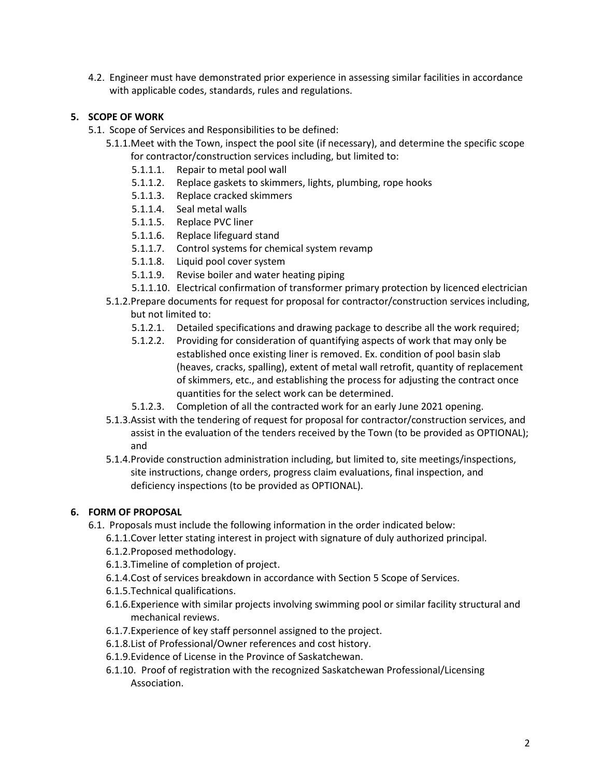4.2. Engineer must have demonstrated prior experience in assessing similar facilities in accordance with applicable codes, standards, rules and regulations.

### **5. SCOPE OF WORK**

- 5.1. Scope of Services and Responsibilities to be defined:
	- 5.1.1.Meet with the Town, inspect the pool site (if necessary), and determine the specific scope for contractor/construction services including, but limited to:
		- 5.1.1.1. Repair to metal pool wall
		- 5.1.1.2. Replace gaskets to skimmers, lights, plumbing, rope hooks
		- 5.1.1.3. Replace cracked skimmers
		- 5.1.1.4. Seal metal walls
		- 5.1.1.5. Replace PVC liner
		- 5.1.1.6. Replace lifeguard stand
		- 5.1.1.7. Control systems for chemical system revamp
		- 5.1.1.8. Liquid pool cover system
		- 5.1.1.9. Revise boiler and water heating piping
		- 5.1.1.10. Electrical confirmation of transformer primary protection by licenced electrician
	- 5.1.2.Prepare documents for request for proposal for contractor/construction services including, but not limited to:
		- 5.1.2.1. Detailed specifications and drawing package to describe all the work required;
		- 5.1.2.2. Providing for consideration of quantifying aspects of work that may only be established once existing liner is removed. Ex. condition of pool basin slab (heaves, cracks, spalling), extent of metal wall retrofit, quantity of replacement of skimmers, etc., and establishing the process for adjusting the contract once quantities for the select work can be determined.
		- 5.1.2.3. Completion of all the contracted work for an early June 2021 opening.
	- 5.1.3.Assist with the tendering of request for proposal for contractor/construction services, and assist in the evaluation of the tenders received by the Town (to be provided as OPTIONAL); and
	- 5.1.4.Provide construction administration including, but limited to, site meetings/inspections, site instructions, change orders, progress claim evaluations, final inspection, and deficiency inspections (to be provided as OPTIONAL).

#### **6. FORM OF PROPOSAL**

- 6.1. Proposals must include the following information in the order indicated below:
	- 6.1.1.Cover letter stating interest in project with signature of duly authorized principal.
	- 6.1.2.Proposed methodology.
	- 6.1.3.Timeline of completion of project.
	- 6.1.4.Cost of services breakdown in accordance with Section 5 Scope of Services.
	- 6.1.5.Technical qualifications.
	- 6.1.6.Experience with similar projects involving swimming pool or similar facility structural and mechanical reviews.
	- 6.1.7.Experience of key staff personnel assigned to the project.
	- 6.1.8.List of Professional/Owner references and cost history.
	- 6.1.9.Evidence of License in the Province of Saskatchewan.
	- 6.1.10. Proof of registration with the recognized Saskatchewan Professional/Licensing Association.